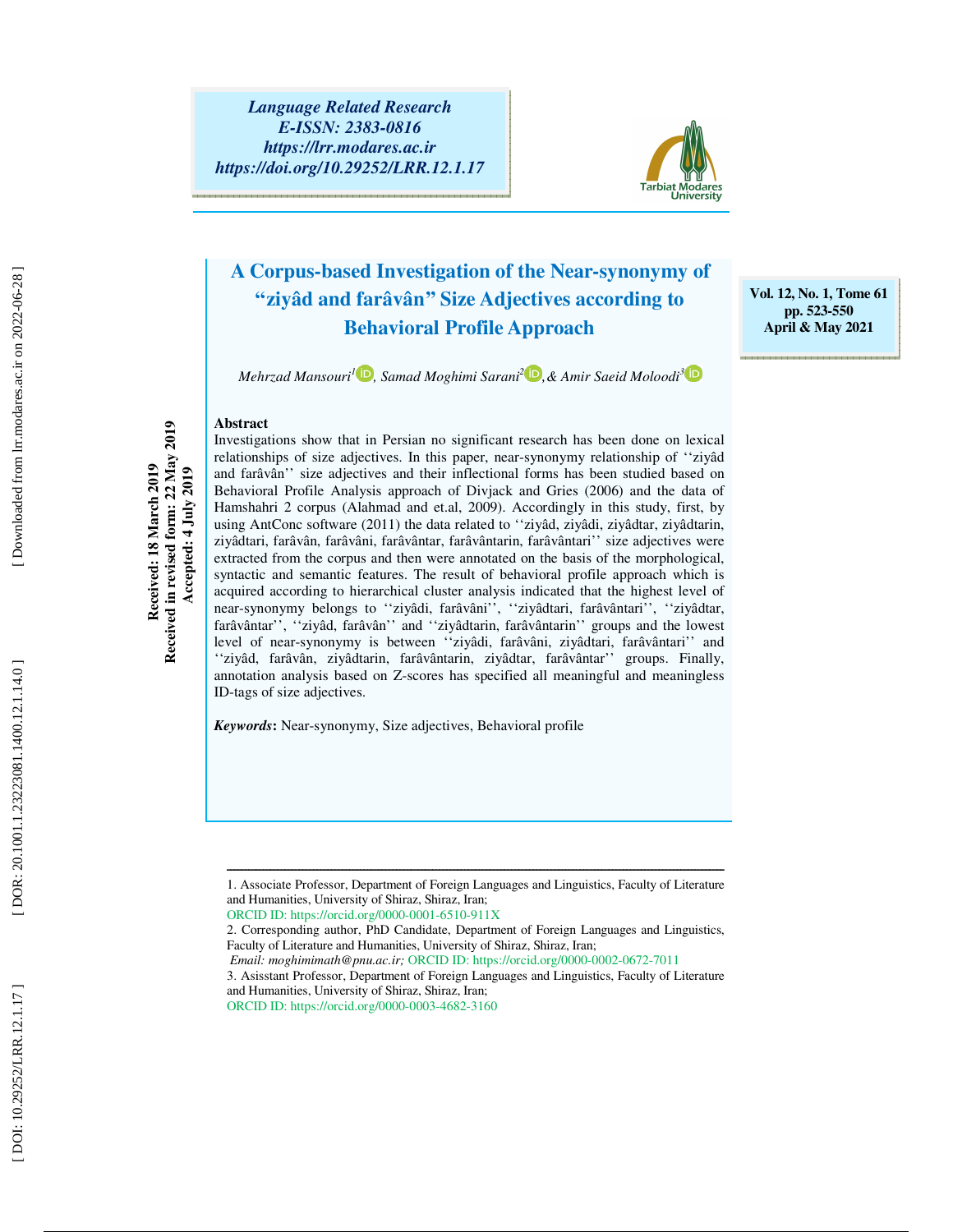

### **A Corpus-based Investigation of the Near-synonymy of ''ziyâd and farâvân'' Size Adjectives according to Behavioral Profile Approach**

*Mehrzad Mansouri 1 , Samad Moghimi Sarani 2 ,& Amir Saeid Moloodi 3*

**Vol. 12, No. 1, Tome 61 pp. 523-550 April & May 2021** 

**Abstract** 

Received in revised form: 22 May 2019 **Received in revised form: 22 May 2019**  Received: 18 March 2019 **Received: 18 March 2019 Accepted: 4 July 2019**  Accepted: 4 July 2019

Investigations show that in Persian no significant research has been done on lexical relationships of size adjectives. In this paper, near-synonymy relationship of ''ziyâd and farâvân'' size adjectives and their inflectional forms has been studied based on Behavioral Profile Analysis approach of Divjack and Gries (2006) and the data of Hamshahri 2 corpus (Alahmad and et.al, 2009). Accordingly in this study, first, by using AntConc software (2011) the data related to ''ziyâd, ziyâdi, ziyâdtar, ziyâdtarin, ziyâdtari, farâvân, farâvâni, farâvântar, farâvântarin, farâvântari'' size adjectives were extracted from the corpus and then were annotated on the basis of the morphological, syntactic and semantic features. The result of behavioral profile approach which is acquired according to hierarchical cluster analysis indicated that the highest level of near-synonymy belongs to ''ziyâdi, farâvâni'', ''ziyâdtari, farâvântari'', ''ziyâdtar, farâvântar'', ''ziyâd, farâvân'' and ''ziyâdtarin, farâvântarin'' groups and the lowest level of near-synonymy is between ''ziyâdi, farâvâni, ziyâdtari, farâvântari'' and ''ziyâd, farâvân, ziyâdtarin, farâvântarin, ziyâdtar, farâvântar'' groups. Finally, annotation analysis based on Z-scores has specified all meaningful and meaningless ID-tags of size adjectives.

*Keywords***:** Near-synonymy, Size adjectives, Behavioral profile

3. Asisstant Professor, Department of Foreign Languages and Linguistics, Faculty of Literature and Humanities, University of Shiraz, Shiraz, Iran; ORCID ID: https://orcid.org/0000-0003-4682-3160

ــــــــــــــــــــــــــــــــــــــــــــــــــــــــــــــــــــــــــــــــــــــــــــــــــــــــــــــــــــــــــــــــــــــــــ 1. Associate Professor, Department of Foreign Languages and Linguistics, Faculty of Literature and Humanities, University of Shiraz, Shiraz, Iran;

ORCID ID: https://orcid.org/0000-0001-6510-911X

<sup>2.</sup> Corresponding author, PhD Candidate, Department of Foreign Languages and Linguistics, Faculty of Literature and Humanities, University of Shiraz, Shiraz, Iran;

*Email: moghimimath@pnu.ac.ir;* ORCID ID: https://orcid.org/0000-0002-0672-7011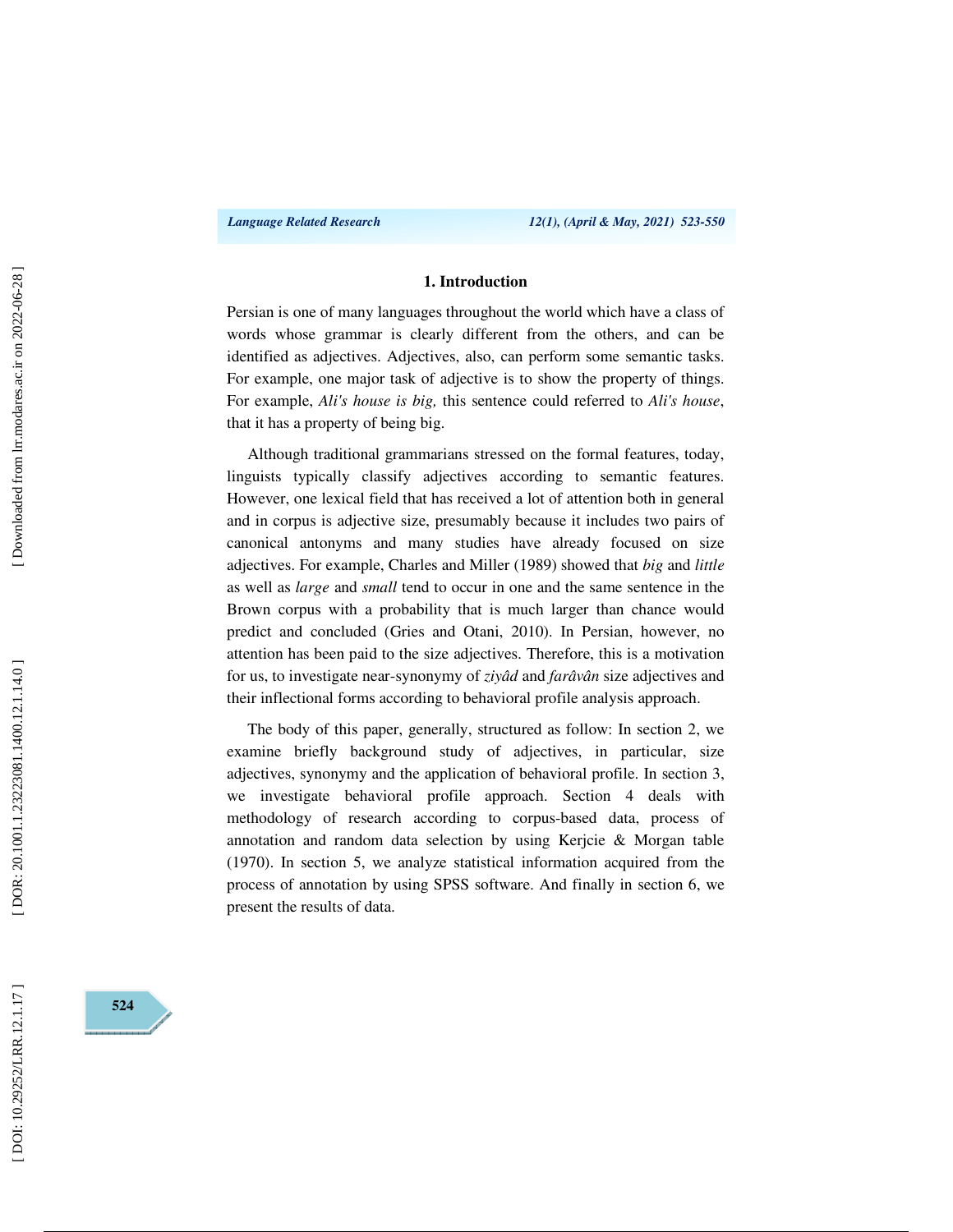### **1. Introduction**

Persian is one of many languages throughout the world which have a class of words whose grammar is clearly different from the others, and can be identified as adjectives. Adjectives, also, can perform some semantic tasks. For example, one major task of adjective is to show the property of things. For example, *Ali's house is big,* this sentence could referred to *Ali's house*, that it has a property of being big.

Although traditional grammarians stressed on the formal features, today, linguists typically classify adjectives according to semantic features. However, one lexical field that has received a lot of attention both in general and in corpus is adjective size, presumably because it includes two pairs of canonical antonyms and many studies have already focused on size adjectives. For example, Charles and Miller (1989) showed that *big* and *little*  as well as *large* and *small* tend to occur in one and the same sentence in the Brown corpus with a probability that is much larger than chance would predict and concluded (Gries and Otani, 2010). In Persian, however, no attention has been paid to the size adjectives. Therefore, this is a motivation for us, to investigate near-synonymy of *ziyâd* and *farâvân* size adjectives and their inflectional forms according to behavioral profile analysis approach.

The body of this paper, generally, structured as follow: In section 2, we examine briefly background study of adjectives, in particular, size adjectives, synonymy and the application of behavioral profile. In section 3, we investigate behavioral profile approach. Section 4 deals with methodology of research according to corpus-based data, process of annotation and random data selection by using Kerjcie & Morgan table (1970). In section 5, we analyze statistical information acquired from the process of annotation by using SPSS software. And finally in section 6, we present the results of data.

**524**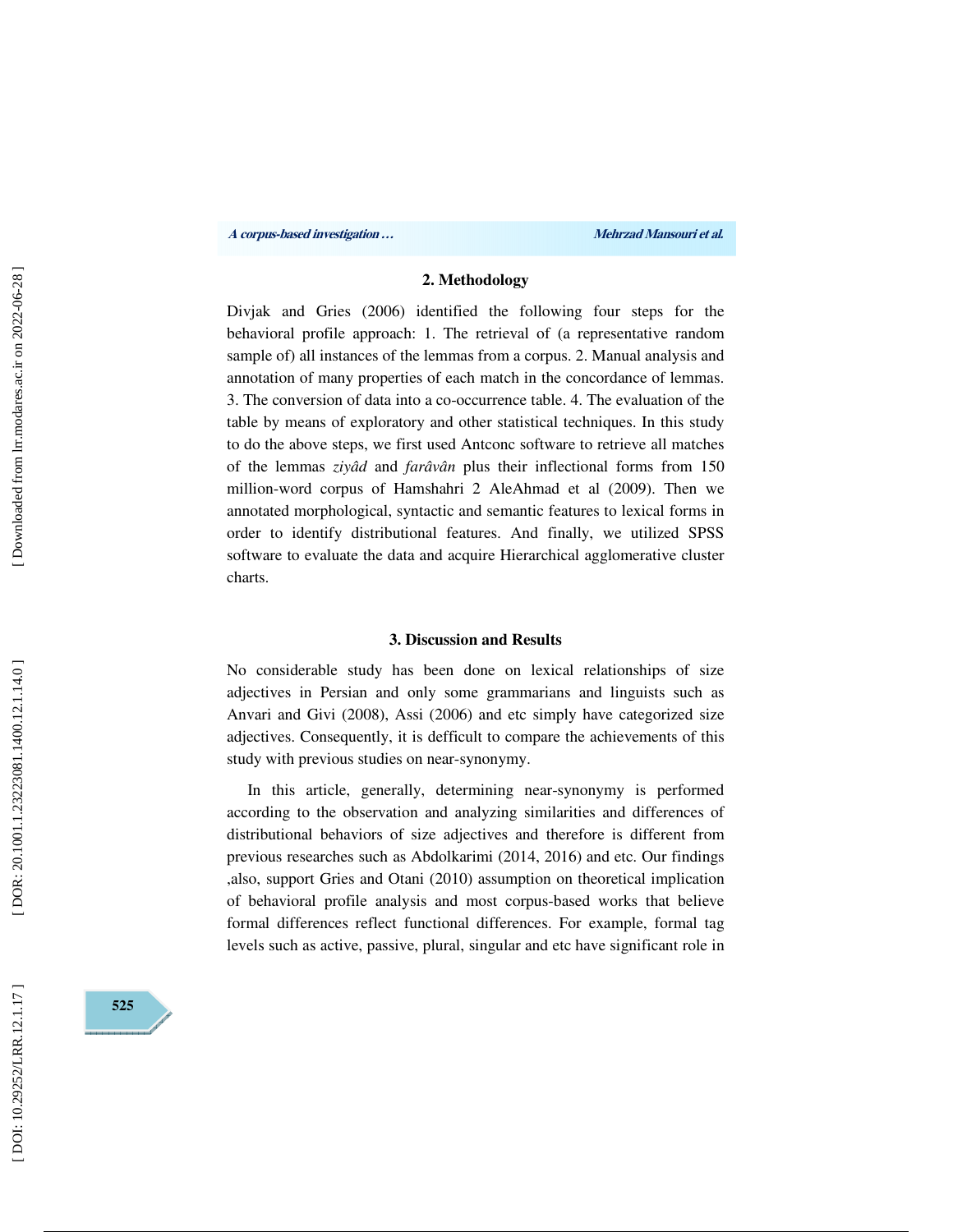### **2. Methodology**

Divjak and Gries (2006) identified the following four steps for the behavioral profile approach: 1. The retrieval of (a representative random sample of) all instances of the lemmas from a corpus. 2. Manual analysis and annotation of many properties of each match in the concordance of lemmas. 3. The conversion of data into a co-occurrence table. 4. The evaluation of the table by means of exploratory and other statistical techniques. In this study to do the above steps, we first used Antconc software to retrieve all matches of the lemmas *ziyâd* and *farâvân* plus their inflectional forms from 150 million-word corpus of Hamshahri 2 AleAhmad et al (2009). Then we annotated morphological, syntactic and semantic features to lexical forms in order to identify distributional features. And finally, we utilized SPSS software to evaluate the data and acquire Hierarchical agglomerative cluster charts.

#### **3. Discussion and Results**

No considerable study has been done on lexical relationships of size adjectives in Persian and only some grammarians and linguists such as Anvari and Givi (2008), Assi (2006) and etc simply have categorized size adjectives. Consequently, it is defficult to compare the achievements of this study with previous studies on near-synonymy.

In this article, generally, determining near-synonymy is performed according to the observation and analyzing similarities and differences of distributional behaviors of size adjectives and therefore is different from previous researches such as Abdolkarimi (2014, 2016) and etc. Our findings ,also, support Gries and Otani (2010) assumption on theoretical implication of behavioral profile analysis and most corpus-based works that believe formal differences reflect functional differences. For example, formal tag levels such as active, passive, plural, singular and etc have significant role in

**525**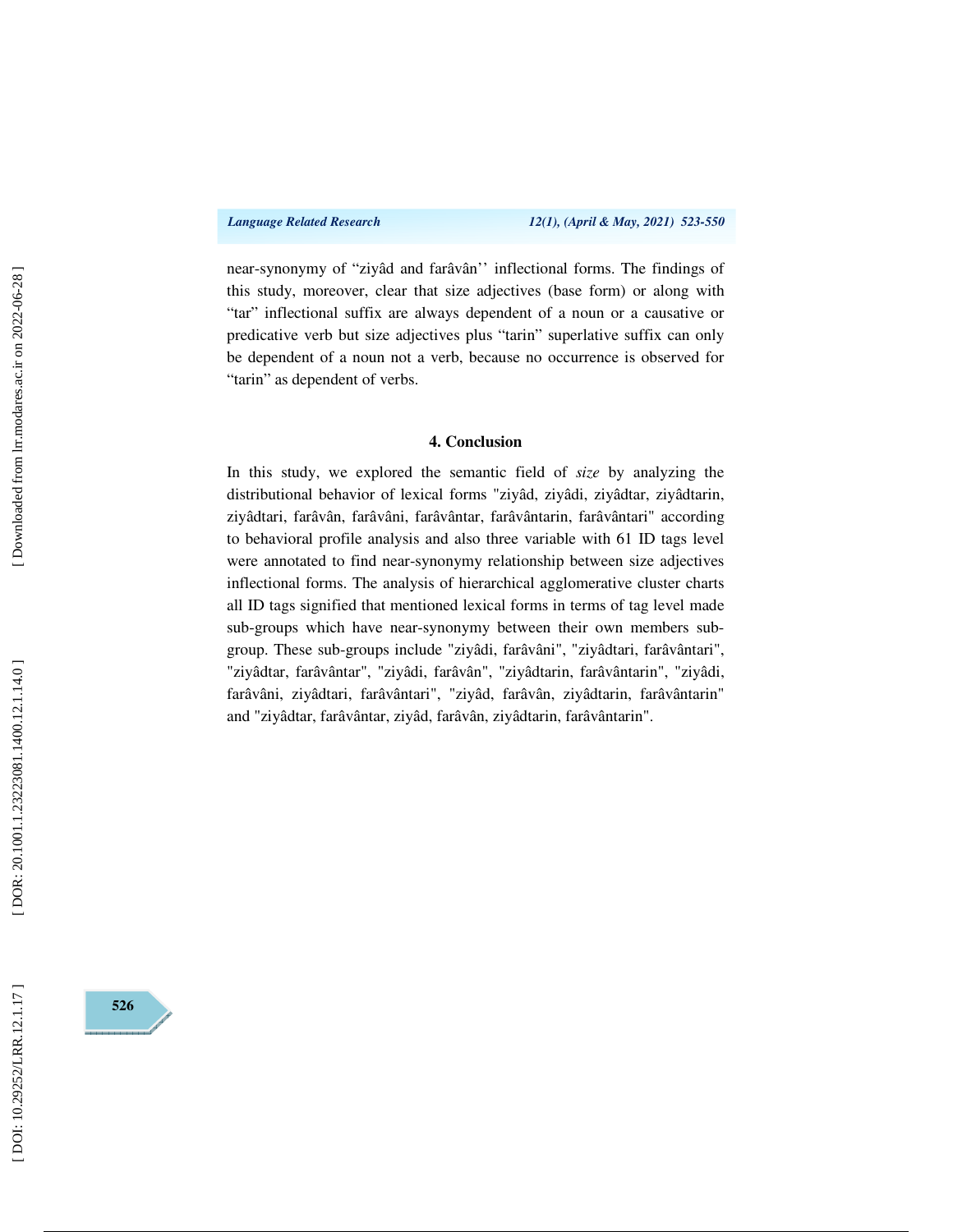near-synonymy of "ziyâd and farâvân'' inflectional forms. The findings of this study, moreover, clear that size adjectives (base form) or along with "tar" inflectional suffix are always dependent of a noun or a causative or predicative verb but size adjectives plus "tarin" superlative suffix can only be dependent of a noun not a verb, because no occurrence is observed for "tarin" as dependent of verbs.

### **4. Conclusion**

In this study, we explored the semantic field of *size* by analyzing the distributional behavior of lexical forms "ziyâd, ziyâdi, ziyâdtar, ziyâdtarin, ziyâdtari, farâvân, farâvâni, farâvântar, farâvântarin, farâvântari" according to behavioral profile analysis and also three variable with 61 ID tags level were annotated to find near-synonymy relationship between size adjectives inflectional forms. The analysis of hierarchical agglomerative cluster charts all ID tags signified that mentioned lexical forms in terms of tag level made sub-groups which have near-synonymy between their own members subgroup. These sub-groups include "ziyâdi, farâvâni", "ziyâdtari, farâvântari", "ziyâdtar, farâvântar", "ziyâdi, farâvân", "ziyâdtarin, farâvântarin", "ziyâdi, farâvâni, ziyâdtari, farâvântari", "ziyâd, farâvân, ziyâdtarin, farâvântarin" and "ziyâdtar, farâvântar, ziyâd, farâvân, ziyâdtarin, farâvântarin".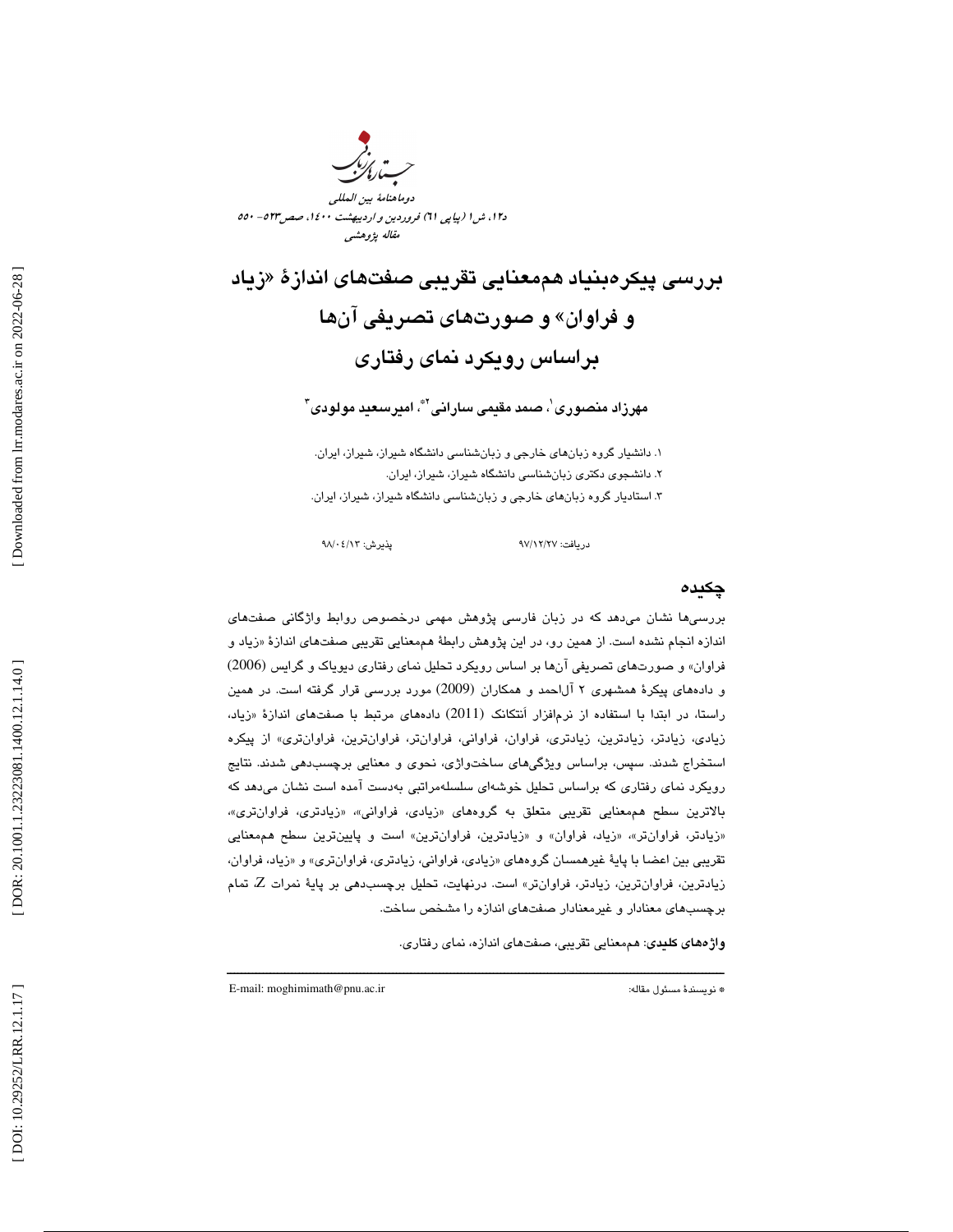

د،12 ش 1 (پياپي 61) فروردين و ارديبهشت ،1400 صص523 - 550 مقاله پژوهشي

بررسي پيكرهبنياد هممعنايي تقريبي صفتهاي اندازهٔ «زياد و فراوان» و صورتهاي تصريفي آنها براساس رويكرد نماي رفتاري

مهرزاد منصوری ٰ، صمد مقیمی سارانی ٌّ، امیرسعید مولودی ؑ

. دانشيار گروه زبانهاي خارجي و زبانشناسي دانشگاه شيراز، شيراز، ايران. 1 . دانشجوي دكتري زبانشناسي دانشگاه شيراز، شيراز، ايران. 2 ۳. استادیار گروه زبان $\mathbf{a}$ ای خارجی و زبانشناسی دانشگاه شیراز، شیراز، ایران.

دريافت: 27/ 12/ 97 پذيرش: 13/ 04/ 98

### چكيده

بررسيها نشان ميدهد كه در زبان فارسي پژوهش مهمي درخصوص روابط واژگاني صفتهاي اندازه انجام نشده است. از همين رو، در اين پژوهش رابطهٔ هممعنايي تقريبي صفتهاي اندازهٔ «زياد و ا فراوان» و صورتهاي تصريفي آنها بر اساس رويكرد تحليل نماي رفتاري ديوياك و گرايس (2006) و دادههاي پيكرهٔ همشهري ۲ آل|حمد و همكاران (2009) مورد بررسي قرار گرفته است. در همين راستا، در ابتدا با استفاده از نرمافزار اَنتكانک (2011) دادههاي مرتبط با صفتهاي اندازهٔ «زياد، زيادي، زيادتر، زيادترين، زيادتري، فراوان، فراواني، فراوانتر، فراوانترين، فراوانتري» از پيكره استخراج شدند. سپس، براساس ويژگيهاي ساختواژي، نحوي و معنايي برچسبدهي شدند. نتايج رويكرد نماي رفتاري كه براساس تحليل خوشهاي سلسلهمراتبي بهدست آمده است نشان ميدهد كه بالاترين سطح هممعنايي تقريبي متعلق به گروههاي «زيادي، فراواني»، «زيادتري، فراوانتري»، «زيادتر، فراوانتر»، «زياد، فراوان» و «زيادترين، فراوانترين» است و پايينترين سطح هممعنايي تقريبي بين اعضا با پايهٔ غيرهمسان گروههاي «زيادي، فراواني، زيادتري، فراوانتري» و «زياد، فراوان، زيادترين، فراوانترين، زيادتر، فراوانتر» است. درنهايت، تحليل برچسبدهي بر پايهٔ نمرات Z، تمام برچسبهاي معنادار و غيرمعنادار صفتهاي اندازه را مشخص ساخت.

ــــــــــــــــــــــــــــــــــــــــــــــــــــــــــــــــــــــــــــــــــــــــــــــــــــــــــــــــــــــــــــــــــــــــــ

**واژههای کلیدی**: هممعنایی تقریبی، صفتهای اندازه، نمای رفتاری.

E-mail: moghimimath@pnu.ac.ir :مقاله مسئول نويسندة\*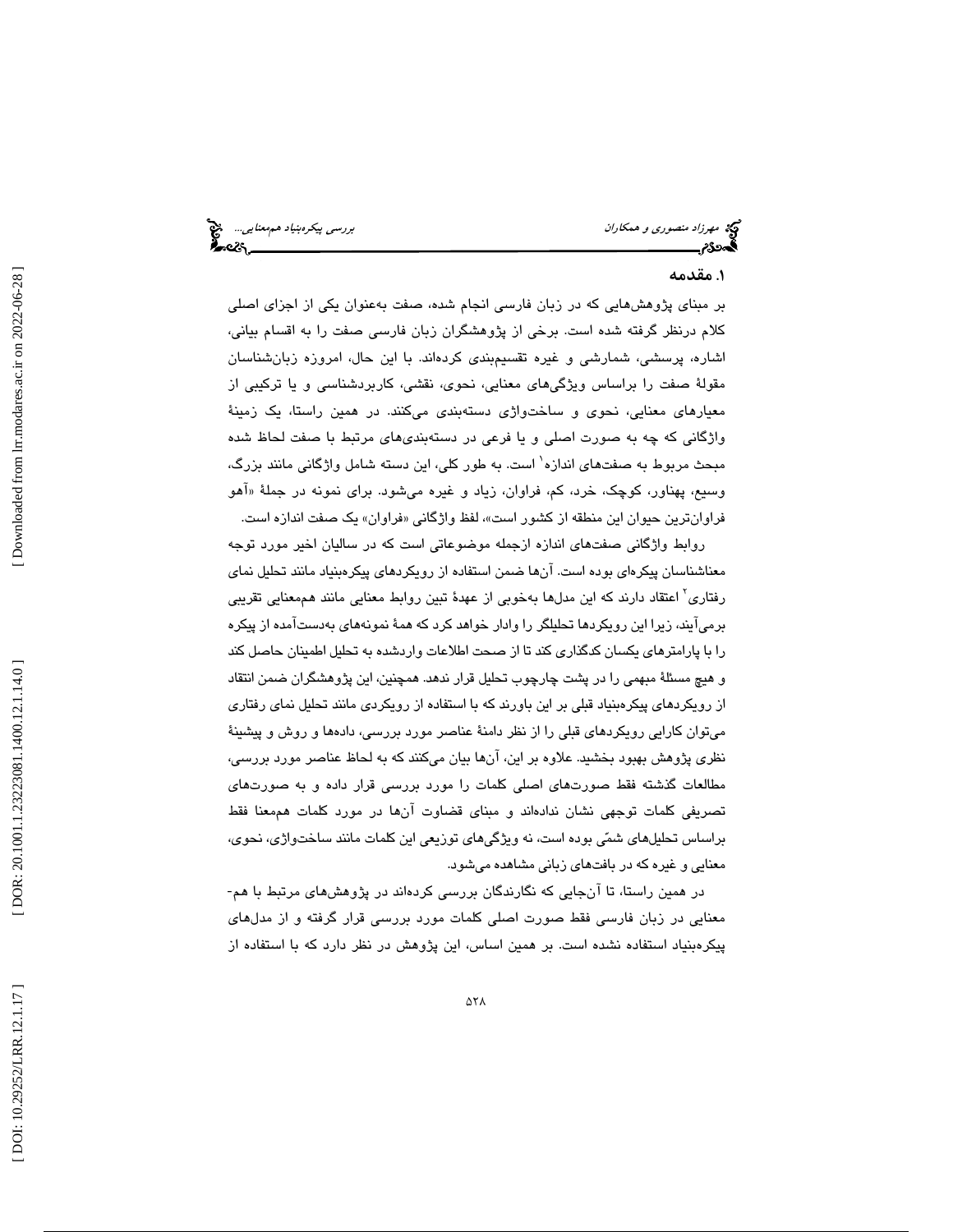### . 1 مقدمه

بر مبناي پژوهشهايي كه در زبان فارسي انجام شده، صفت بهعنوان يكي از اجزاي اصلي كلام درنظر گرفته شده است. برخي از پژوهشگران زبان فارسي صفت را به اقسام بياني، اشاره، پرسشي، شمارشي و غيره تقسيمبندي كردهاند. با اين حال، امروزه زبانشناسان مقولة صفت را براساس ويژگيهاي معنايي، نحوي، نقشي، كاربردشناسي و يا تركيبي از معيارهاي معنايي، نحوي و ساختواژي دستهبندي ميكنند. در همين راستا، يك زمينة واژگاني كه چه به صورت اصلي و يا فرعي در دستهبنديهاي مرتبط با صفت لحاظ شده مبحث مربوط به صفتهای اندازه` است. به طور کلی، این دسته شامل واژگانی مانند بزرگ، وسيع، پهناور، كوچك، خرد، كم، فراوان، زياد و غيره ميشود. براي نمونه در جملهٔ «اهو فراوانترین حیوان این منطقه از کشور است»، لفظ واژگانی «فراوان» یک صفت اندازه است.

روابط واژگاني صفتهاي اندازه ازجمله موضوعاتي است كه در ساليان اخير مورد توجه معناشناسان پيكرهاي بوده است. آنها ضمن استفاده از رويكردهاي پيكرهبنياد مانند تحليل نماي رفتاری<sup>٬</sup> اعتقاد دارند كه این مدلها بهخوبی از عهدهٔ تبین روابط معنایی مانند هممعنایی تقریبی برميآيند، زيرا اين رويكردها تحليلگر را وادار خواهد كرد كه همة نمونههاي بهدستآمده از پيكره را با پارامترهاي يكسان كدگذاري كند تا از صحت اطلاعات واردشده به تحليل اطمينان حاصل كند و هيچ مسئلة مبهمي را در پشت چارچوب تحليل قرار ندهد. همچنين، اين پژوهشگران ضمن انتقاد از رويكردهاي پيكرهبنياد قبلي بر اين باورند كه با استفاده از رويكردي مانند تحليل نماي رفتاري ميتوان كارايي رويكردهاي قبلي را از نظر دامنة عناصر مورد بررسي، دادهها و روش و پيشينة نظري پژوهش بهبود بخشيد. علاوه بر اين، آنها بيان ميكنند كه به لحاظ عناصر مورد بررسي، مطالعات گذشته فقط صورتهاي اصلي كلمات را مورد بررسي قرار داده و به صورتهاي تصريفي كلمات توجهي نشان ندادهاند و مبناي قضاوت آنها در مورد كلمات هممعنا فقط براساس تحليلهاي شمي بوده است، نه ويژگيهاي توزيعي اين كلمات مانند ساختواژي، نحوي، معنايي و غيره كه در بافتهاي زباني مشاهده ميشود.

در همين راستا، تا آنجايي كه نگارندگان بررسي كردهاند در پژوهشهاي مرتبط با هم- معنايي در زبان فارسي فقط صورت اصلي كلمات مورد بررسي قرار گرفته و از مدلهاي پيكرهبنياد استفاده نشده است. بر همين اساس، اين پژوهش در نظر دارد كه با استفاده از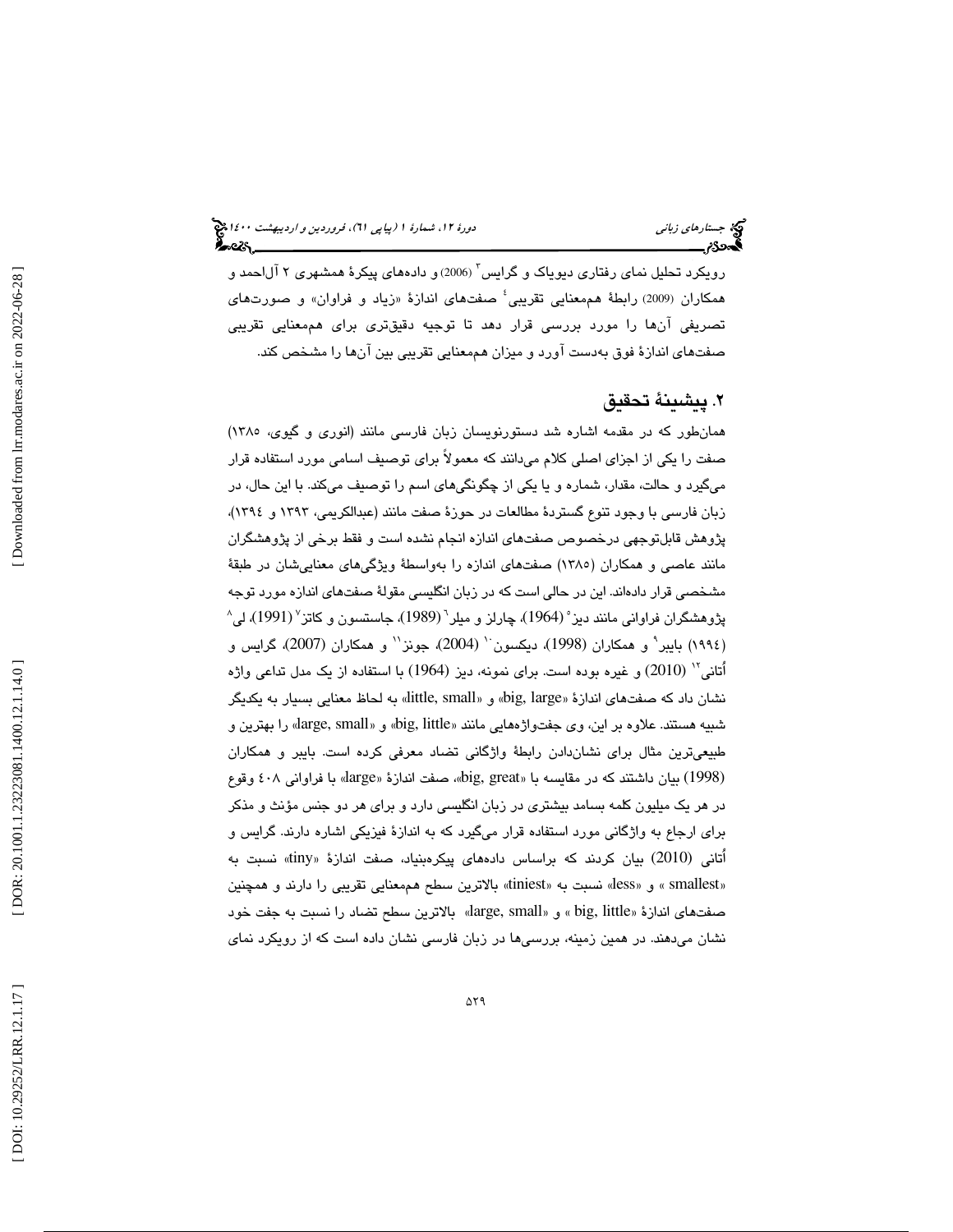رویکرد تحلیل نمای رفتاری دیویاک و گرایس<sup>۳</sup> (2006)و دادههای پیکرهٔ همشهری ۲ آلاحمد و همکاران (2009) رابطهٔ هممعنایی تقریبی<sup>؛</sup> صفتهای اندازهٔ «زیاد و فراوان» و صورتهای تصريفي آنها را مورد بررسي قرار دهد تا توجيه دقيقتري براي هممعنايي تقريبي صفتهاي اندازة فوق بهدست آورد و ميزان هممعنايي تقريبي بين آنها را مشخص كند.

### . پيشينة تحقيق 2

همانطور كه در مقدمه اشاره شد دستورنويسان زبان فارسي مانند (انوري و گيوي، 1385) صفت را يكي از اجزاي اصلي كلام ميدانند كه معمولاً براي توصيف اسامي مورد استفاده قرار ميگيرد و حالت، مقدار، شماره و يا يكي از چگونگيهاي اسم را توصيف ميكند. با اين حال، در زبان فارسي با وجود تنوع گستردة مطالعات در حوزة صفت مانند (عبدالكريمي، 1393 و 1394)، پژوهش قابلتوجهي درخصوص صفتهاي اندازه انجام نشده است و فقط برخي از پژوهشگران مانند عاصي و همكاران (1385) صفتهاي اندازه را بهواسطة ويژگيهاي معناييشان در طبقة مشخصي قرار دادهاند. اين در حالي است كه در زبان انگليسي مقولة صفتهاي اندازه مورد توجه پژوهشگران فراوانی مانند دیز˚ (1964)، چارلز و میلر<sup>٬</sup> (1989)، جاستسون و کاتز<sup>٬</sup> (1991)، لی (١٩٩٤) بايبر` و همكاران (1998)، ديكسون`` (2004)، جونز`` و همكاران (2007)، گرايس و (2010) و غيره بوده است. براي نمونه، ديز (1964) با استفاده از يك مدل تداعي واژه <sup>12</sup> اُتاني نشان داد كه صفتهاي اندازهٔ «big, large» و «little, small» به لحاظ معنايي بسيار به يكديگر شبيه هستند. علاوه بر اين، وي جفتواژههايي مانند «big, little» و «large, small» را بهترين و طبيعيترين مثال براي نشاندادن رابطة واژگاني تضاد معرفي كرده است. بايبر و همكاران (1998) بیان داشتند که در مقایسه با «big, great» صفت اندازهٔ «large» با فراوانی ٤٠٨ وقوع در هر يك ميليون كلمه بسامد بيشتري در زبان انگليسي دارد و براي هر دو جنس مؤنث و مذكر براي ارجاع به واژگاني مورد استفاده قرار ميگيرد كه به اندازة فيزيكي اشاره دارند. گرايس و أتانی (2010) بیان کردند که براساس دادههای پیکرهبنیاد، صفت اندازهٔ «tiny» نسبت به «smallest» و «less» نسبت به «tiniest» بالاترين سطح هممعنايي تقريبي را دارند و همچنين صفتهاي اندازهٔ «big, little » و «large, small» بالاترين سطح تضاد را نسبت به جفت خود نشان ميدهند. در همين زمينه، بررسيها در زبان فارسي نشان داده است كه از رويكرد نماي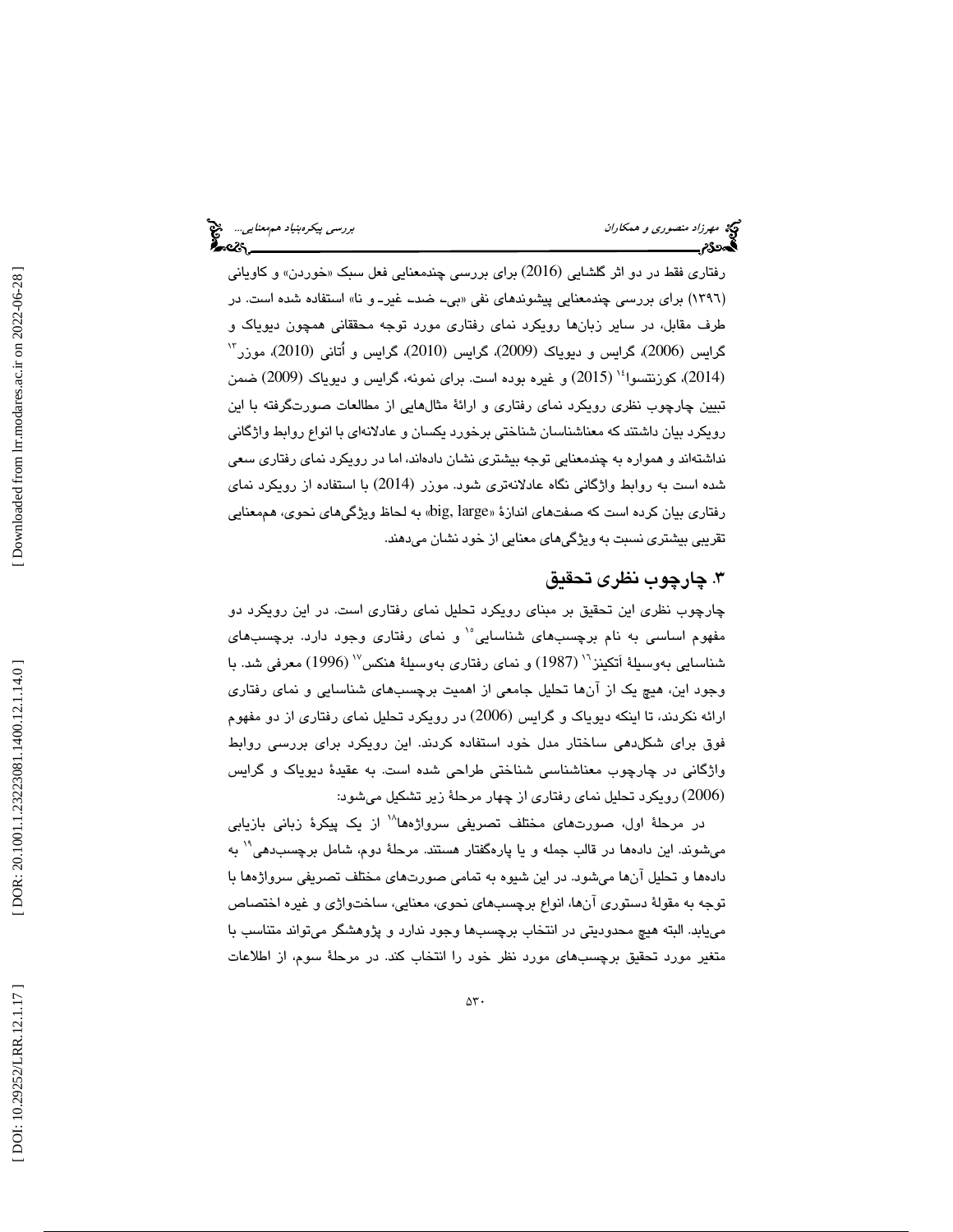رفتاری فقط در دو اثر گلشایی (2016) برای بررسی چندمعنایی فعل سبک «خوردن» و کاویانی (١٣٩٦) برای بررسی چندمعنایی پیشوندهای نفی «بی۔ ضد۔ غیر۔ و نا» استفاده شده است. در طرف مقابل، در ساير زبانها رويكرد نماي رفتاري مورد توجه محققاني همچون ديوياك و 13 گرايس (2006) ، گرايس و ديوياك (2009)، گرايس (2010)، گرايس و اُتاني (2010) ، موزر 14 (2014) ، كوزنتسوا (2015) و غيره بوده است. براي نمونه، گرايس و ديوياك (2009) ضمن تبيين چارچوب نظري رويكرد نماي رفتاري و ارائة مثالهايي از مطالعات صورتگرفته با اين رويكرد بيان داشتند كه معناشناسان شناختي برخورد يكسان و عادلانهاي با انواع روابط واژگاني نداشتهاند و همواره به چندمعنايي توجه بيشتري نشان دادهاند، اما در رويكرد نماي رفتاري سعي شده است به روابط واژگاني نگاه عادلانهتري شود. موزر (2014) با استفاده از رويكرد نماي رفتاري بيان كرده است كه صفتهاي اندازهٔ «big, large» به لحاظ ويژگيهاي نحوي، هممعنايي تقريبي بيشتري نسبت به ويژگيهاي معنايي از خود نشان ميدهند.

### . چارچوب نظري تحقيق 3

چارچوب نظري اين تحقيق بر مبناي رويكرد تحليل نماي رفتاري است. در اين رويكرد دو مفهوم اساسي به نام برچسبهاي شناسايي<sup>10</sup> و نماي رفتاري وجود دارد. برچسبهاي شناسايي بەوسىلۀ اَتكينز<sup>٦</sup>' (1987) و نماي رفتارى بەوسىلۀ ھنكس<sup>7</sup>' (1996) معرفى شد. با وجود اين، هيچ يك از آنها تحليل جامعي از اهميت برچسبهاي شناسايي و نماي رفتاري ارائه نكردند، تا اينكه ديوياك و گرايس (2006) در رويكرد تحليل نماي رفتاري از دو مفهوم فوق براي شكلدهي ساختار مدل خود استفاده كردند. اين رويكرد براي بررسي روابط واژگاني در چارچوب معناشناسي شناختي طراحي شده است. به عقيدة ديوياك و گرايس (2006) رويكرد تحليل نماي رفتاري از چهار مرحلة زير تشكيل ميشود:

در مرحلهٔ اول، صورتهای مختلف تصریفی سرواژهها`` از یک پیکرهٔ زبانی بازیابی ميشوند. اين دادهها در قالب جمله و يا پارهگفتار هستند. مرحلة دوم، شامل برچسبدهي 19 به دادهها و تحليل آنها ميشود. در اين شيوه به تمامي صورتهاي مختلف تصريفي سرواژهها با توجه به مقولة دستوري آنها، انواع برچسبهاي نحوي، معنايي، ساختواژي و غيره اختصاص مييابد. البته هيچ محدوديتي در انتخاب برچسبها وجود ندارد و پژوهشگر ميتواند متناسب با متغير مورد تحقيق برچسبهاي مورد نظر خود را انتخاب كند. در مرحلة سوم، از اطلاعات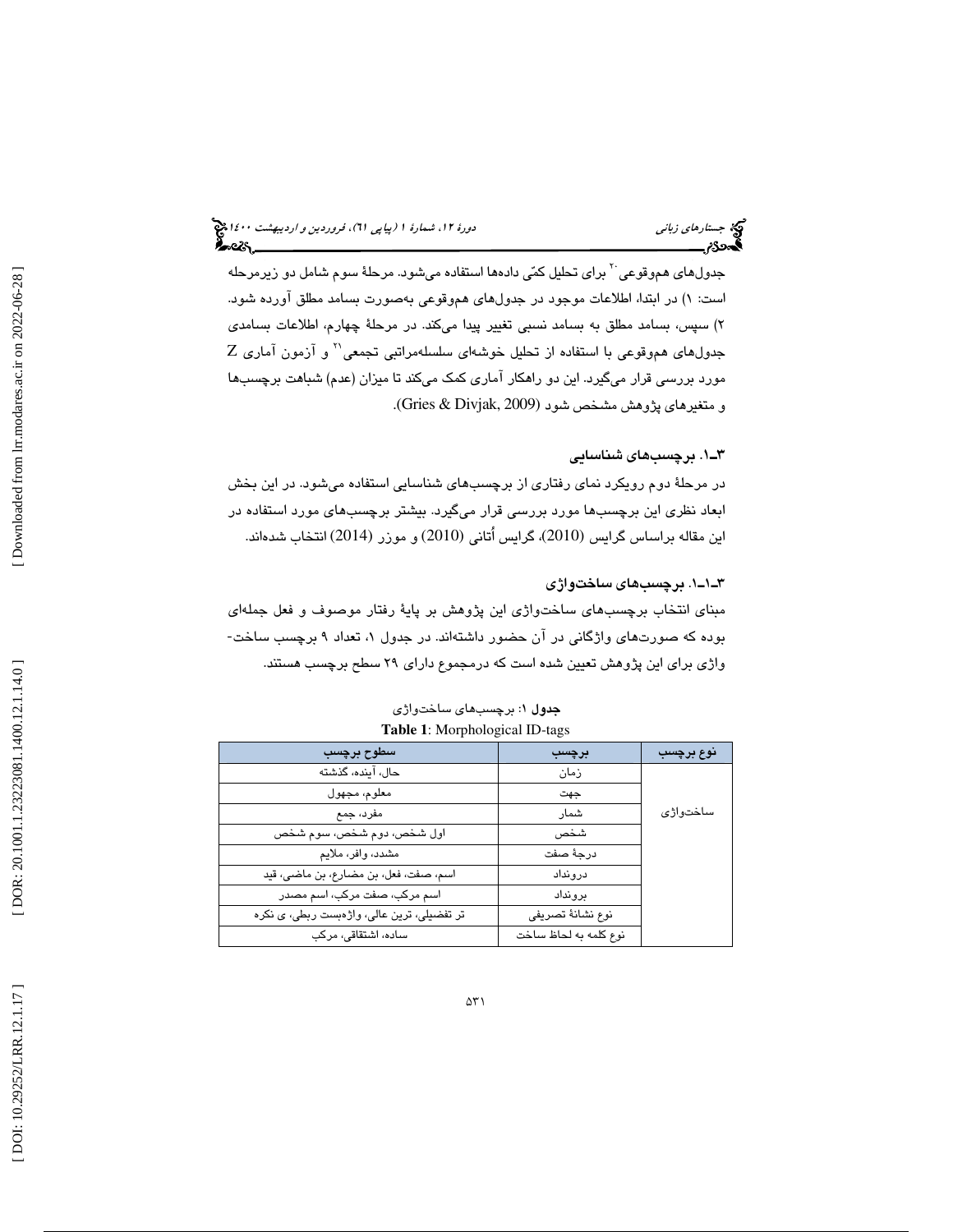### جستار*هاي زباني هي المرديبهشت 14*00 المرديبي في المرديب المرديبي المرديبهشت 1400 هجرا بعد المرديب المرديب

جدولهای هموقوعی <sup>۲۰</sup> برای تحلیل کمّی دادهها استفاده میشود. مرحلهٔ سوم شامل دو زیرمرحله ) در ابتدا، اطلاعات موجود در جدولهاي هموقوعي بهصورت بسامد مطلق آورده شود. است: 1 ) سپس، بسامد مطلق به بسامد نسبي تغيير پيدا ميكند. در مرحلة چهارم، اطلاعات بسامدي 2  $Z$  جدول $\mathfrak{sl}_2$ هموقوعی با استفاده از تحلیل خوشهای سلسلهمراتبی تجمعی $^\vee$  و آزمون آماری مورد بررسي قرار ميگيرد. اين دو راهكار آماري كمك ميكند تا ميزان (عدم) شباهت برچسبها و متغيرهاي پژوهش مشخص شود (2009 ,Divjak & Gries (.

### . 1ـ3 برچسبهاي شناسايي

در مرحلة دوم رويكرد نماي رفتاري از برچسبهاي شناسايي استفاده ميشود. در اين بخش ابعاد نظري اين برچسبها مورد بررسي قرار ميگيرد. بيشتر برچسبهاي مورد استفاده در اين مقاله براساس گرايس (2010) ، گرايس اُتاني (2010) و موزر (2014) انتخاب شدهاند.

### 1ـ1ـ3 . برچسبهاي ساختواژي

مبنای انتخاب برچسبهای ساختواژی این پژوهش بر پایهٔ رفتار موصوف و فعل جملهای<br>بوده که صورتهای واژگانی در آن حضور داشتهاند. در جدول ۱، تعداد ۹ برچسب ساخت-واژي براي اين پژوهش تعيين شده است كه درمجموع داراي 29 سطح برچسب هستند.

| سطوح برچسب                                 | برچسب                 | نوع برچسب |
|--------------------------------------------|-----------------------|-----------|
| حال، آینده، گذشته                          | زمان                  |           |
| معلوم، مجهول                               | جهت                   |           |
| مفرد، جمع                                  | شمار                  | ساختواژی  |
| اول شخص، دوم شخص، سوم شخص                  | شخص                   |           |
| مشدد، وافر، ملايم                          | درجة صفت              |           |
| اسم، صفت، فعل، بن مضارع، بن ماضى، قيد      | درونداد               |           |
| اسم مرکب، صفت مرکب، اسم مصدر               | ىر و نداد             |           |
| تر تفضیلی، ترین عالی، واژهبست ربطی، ی نکره | نوع نشانة تصريفي      |           |
| ساده، اشتقاقی، مرکب                        | نوع كلمه به لحاظ ساخت |           |

جدول 1: برچسبهاي ساختواژي **Table 1**: Morphological ID-tags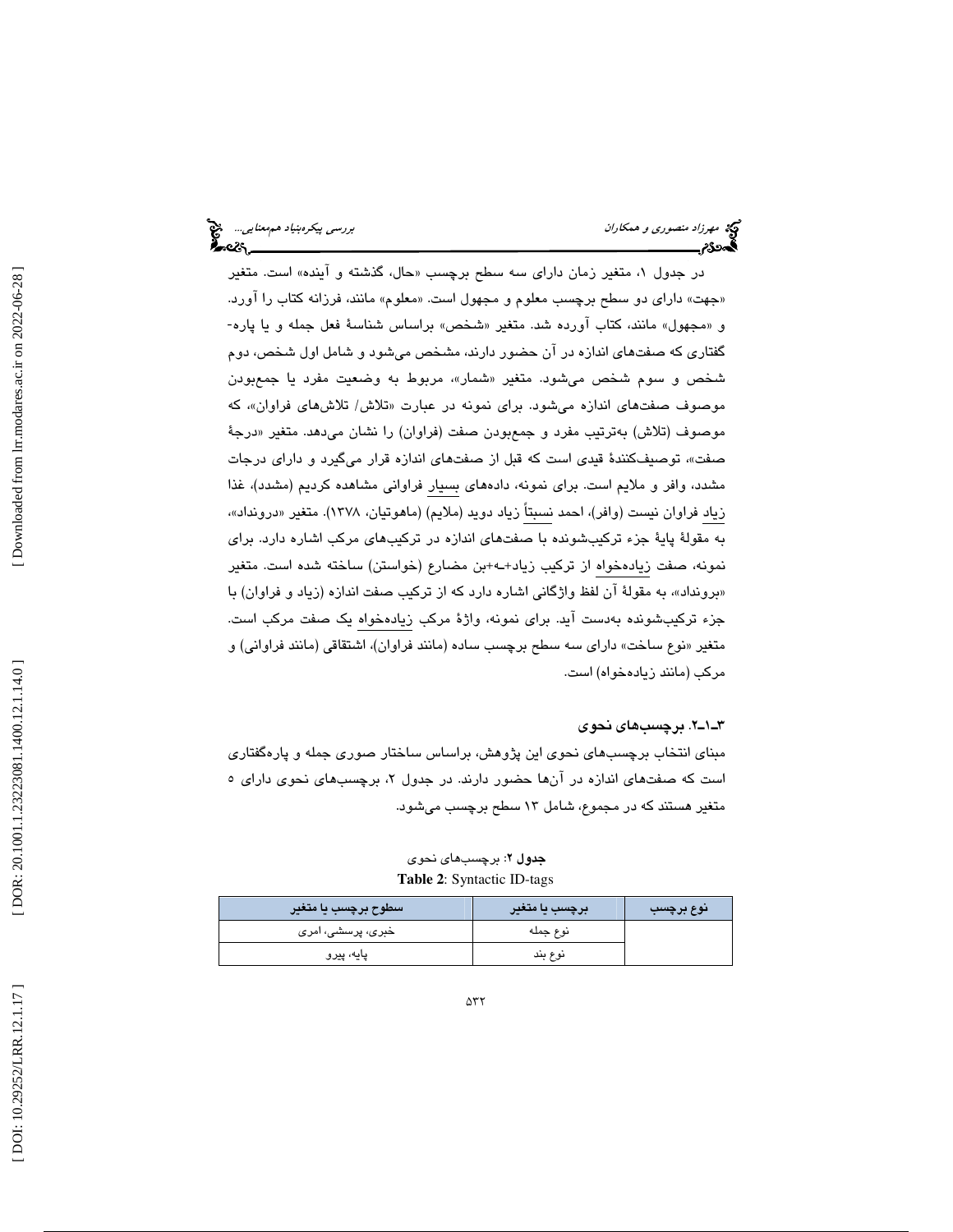# مهرزاد منصوري و همكاران بررسي پيكرهبنياد هم معنايي... هيچ<br>پيمهنگام بررسي پيكرهبنياد بررسي پيكرهبنياد بررسي پيكرهبنياد هم بررسي پيكرهبنياد هم معنايي...<br>پيكس پيكرهبني

در جدول ۱، متغير زمان داراي سه سطح برچسب «حال، گذشته و اينده» است. متغير «جهت» دارای دو سطح برچسب معلوم و مجهول است. «معلوم» مانند، فرزانه کتاب را اورد. و «مجهول» مانند، كتاب آورده شد. متغير «شخص» براساس شناسهٔ فعل جمله و يا پاره-گفتاري كه صفتهاي اندازه در آن حضور دارند، مشخص ميشود و شامل اول شخص، دوم شخص و سوم شخص ميشود. متغير «شمار»، مربوط به وضعيت مفرد يا جمعبودن موصوف صفتهای اندازه میشود. برای نمونه در عبارت «تلاش/ تلاشهای فراوان»، که موصوف (تلاش) بهترتيب مفرد و جمعبودن صفت (فراوان) را نشان ميدهد. متغير «درجهٔ ، توصيفكنندة قيدي است كه قبل از صفتهاي اندازه قرار ميگيرد و داراي درجات صفت» مشدد، وافر و ملايم است. براي نمونه، دادههاي بسيار فراواني مشاهده كرديم (مشدد)، غذا زياد فراوان نيست (وافر)، احمد نسبتاً زياد دويد (ملايم) (ماهوتيان، ١٣٧٨). متغير «درونداد»، به مقولة پاية جزء تركيبشونده با صفتهاي اندازه در تركيبهاي مركب اشاره دارد. براي نمونه، صفت زيادهخواه از تركيب زياد+ـه+بن مضارع (خواستن) ساخته شده است. متغير «برونداد»، به مقولهٔ ان لفظ واژگانی اشاره دارد كه از تركيب صفت اندازه (زياد و فراوان) با جزء تركيبشونده بهدست آيد. براي نمونه، واژة مركب زيادهخواه يك صفت مركب است. نوع ساخت» داراي سه سطح برچسب ساده (مانند فراوان)، اشتقاقي (مانند فراواني) و متغير « مركب (مانند زيادهخواه) است.

### 2ـ1ـ3 . برچسبهاي نحوي

مبناي انتخاب برچسبهاي نحوي اين پژوهش، براساس ساختار صوري جمله و پارهگفتاري است كه صفتهای اندازه در انها حضور دارند. در جدول ۲، برچسبهای نحوی دارای ۵ متغير هستند كه در مجموع، شامل 13 سطح برچسب ميشود.

| <i>، س</i> طوح برچسب یا متغیر | برچسب یا متغیر | نوع برچسب |
|-------------------------------|----------------|-----------|
| خبری، پرسشی، امری             | نوع جمله       |           |
| پایه، پیرو                    | نوع بند        |           |

جدول 2: برچسبهاي نحوي **Table 2**: Syntactic ID-tags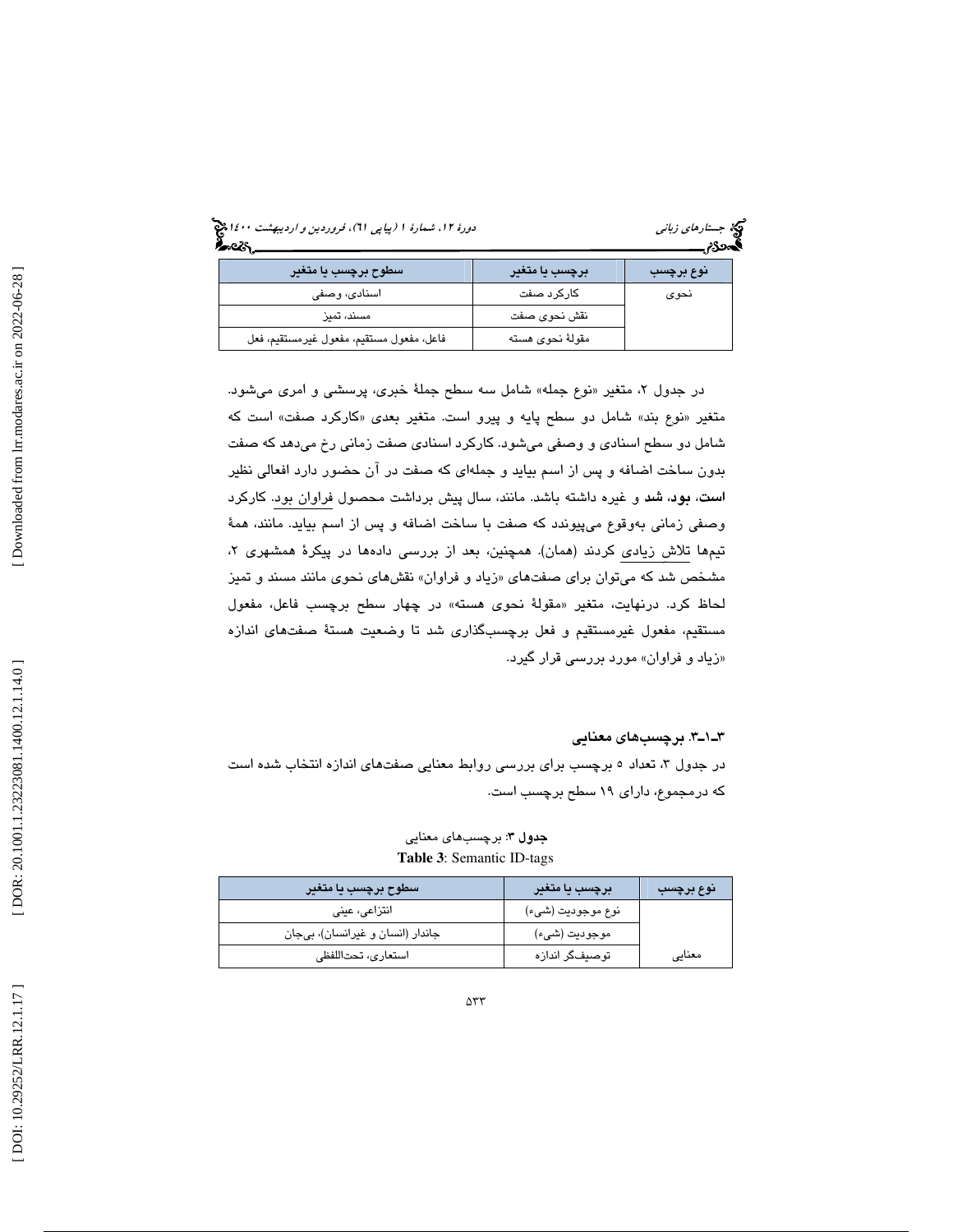| دورهٔ ۱۲، شمارهٔ ۱ (پیاپی T۱)، فروردین و اردیبهشت ۱۶۰۰ پخ<br>۱۳۰۰ - | جستارهای زبانی |
|---------------------------------------------------------------------|----------------|
|                                                                     | $\sim$ $\sim$  |

| کیج جستار <i>های زبان</i> ه<br><b>اکسین کلی</b> |  |
|-------------------------------------------------|--|
|                                                 |  |

| سطوح برچسب یا متغیر                      | برچسب یا متغیر   | نوع برچسب |
|------------------------------------------|------------------|-----------|
| اسنادی، وصفی                             | كاركرد صفت       | نحوى      |
| مسند، تمىز                               | نقش نحوى صفت     |           |
| فاعل، مفعول مستقيم، مفعول غيرمستقيم، فعل | مقولهٔ نحوی هسته |           |

در جدول ۲، متغیر «نوع جمله» شامل سه سطح جملهٔ خبری، پرسشی و امری میشود. متغير «نوع بند» شامل دو سطح پايه و پيرو است. متغير بعدي «كاركرد صفت» است كه شامل دو سطح اسنادي و وصفي ميشود. كاركرد اسنادي صفت زماني رخ ميدهد كه صفت بدون ساخت اضافه و پس از اسم بيايد و جملهاي كه صفت در آن حضور دارد افعالي نظير است، بود، شد و غيره داشته باشد. مانند، سال پيش برداشت محصول فراوان بود. كاركرد وصفي زماني بهوقوع ميپيوندد كه صفت با ساخت اضافه و پس از اسم بيايد. مانند، همة تيمها تلاش زيادي كردند (همان). همچنين، بعد از بررسي دادهها در پيكرهٔ همشهري ۲، مشخص شد كه مىتوان براى صفتهاى «زياد و فراوان» نقشهاى نحوى مانند مسند و تميز لحاظ كرد. درنهايت، متغير «مقولهٔ نحوى هسته» در چهار سطح برچسب فاعل، مفعول مستقيم، مفعول غيرمستقيم و فعل برچسبگذاري شد تا وضعيت هستة صفتهاي اندازه زياد و فراوان» مورد بررسي قرار گيرد. »

### 3ـ1ـ3 . برچسبهاي معنايي

در جدول ۳، تعداد ٥ برچسب برای بررسی روابط معنایی صفتهای اندازه انتخاب شده است كه درمجموع، داراي 19 سطح برچسب است.

جدول 3: برچسبهاي معنايي **Table 3**: Semantic ID-tags

| سطوح برچسب یا متغیر              | برچسب یا متغیر    | نوع برچسب |
|----------------------------------|-------------------|-----------|
| انتزاعى، عينى                    | نوع موجوديت (شيء) |           |
| جاندار (انسان و غیرانسان)، بیجان | موجوديت (شيء)     |           |
| استعارى، تحتاللفظى               | توصيفگر اندازه    | معنايى    |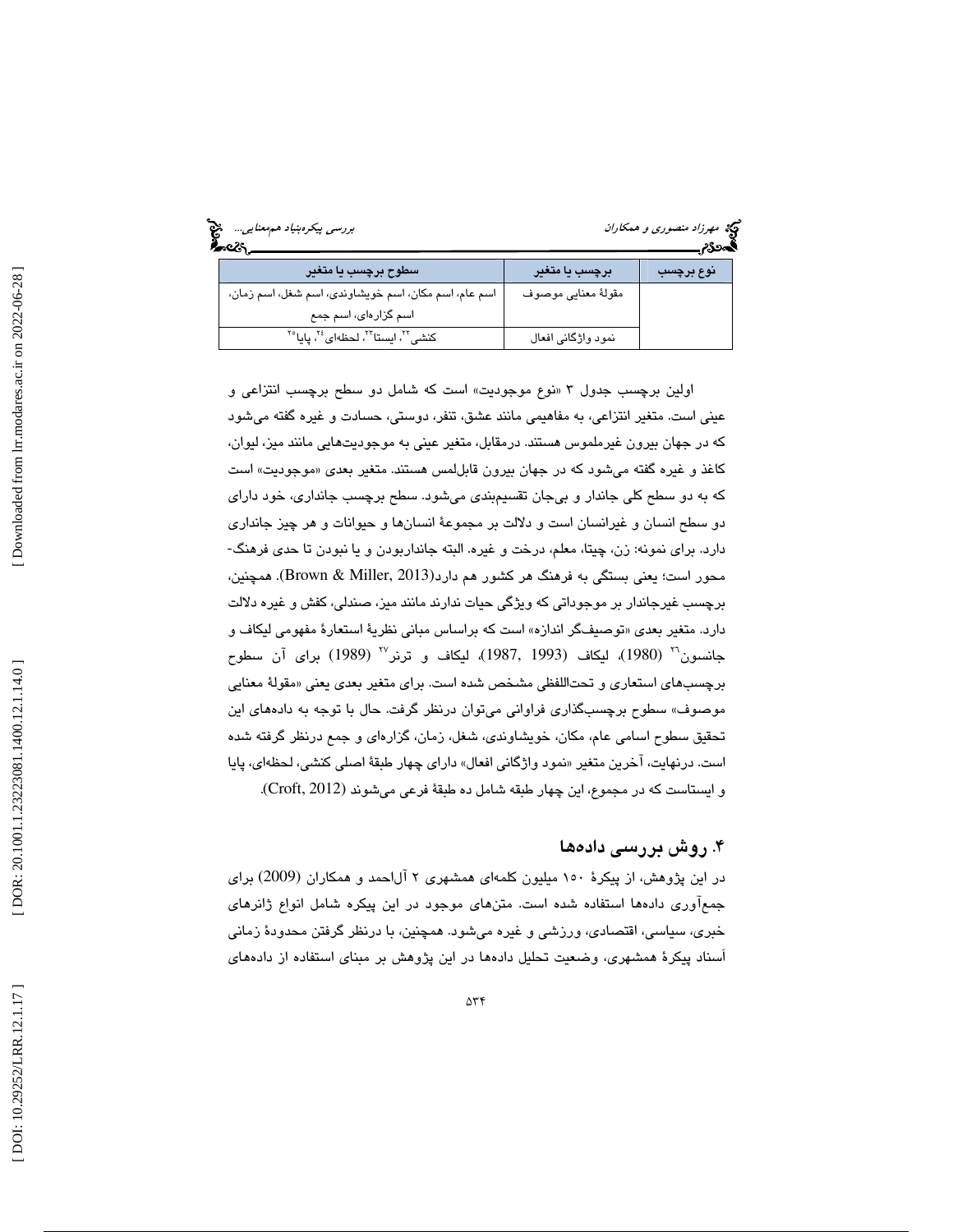|  | برر <i>سی پیکرەبنیاد ھەمعنایی</i> . منبع<br><b>گ</b> ھەم |  |
|--|----------------------------------------------------------|--|
|  |                                                          |  |

# مهد مهرزاد منصوري و همكاران<br>بهمو**ري**م

| سطوح برچسب یا متغیر                                                                  | برچسب یا متغیر      | نوع برچسب |
|--------------------------------------------------------------------------------------|---------------------|-----------|
| اسم عام، اسم مكان، اسم خويشاوندي، اسم شغل، اسم زمان،                                 | مقولهٔ معنایی موصوف |           |
| اسم گزارهای، اسم جمع                                                                 |                     |           |
| كنشى <sup>٢٢</sup> ، ايستا <sup>7٢</sup> ، لحظهاى <sup>٢٤</sup> ، پايا <sup>٢٥</sup> | نمود واژگانی افعال  |           |

 اولين برچسب جدول « 3 نوع موجوديت» است كه شامل دو سطح برچسب انتزاعي و عيني است. متغير انتزاعي، به مفاهيمي مانند عشق، تنفر، دوستي، حسادت و غيره گفته ميشود كه در جهان بيرون غيرملموس هستند. درمقابل، متغير عيني به موجوديتهايي مانند ميز، ليوان، کاغذ و غیره گفته میشود که در جهان بیرون قابللمس هستند. متغیر بع*دی* «موجودیت» است كه به دو سطح كلي جاندار و بيجان تقسيمبندي ميشود. سطح برچسب جانداري، خود داراي دو سطح انسان و غيرانسان است و دلالت بر مجموعة انسانها و حيوانات و هر چيز جانداري دارد. براي نمونه: زن، چيتا، معلم، درخت و غيره. البته جانداربودن و يا نبودن تا حدي فرهنگ- محور است؛ يعني بستگي به فرهنگ هر كشور هم دارد(Brown & Miller, 2013). همچنين، برچسب غيرجاندار بر موجوداتي كه ويژگي حيات ندارند مانند ميز، صندلي، كفش و غيره دلالت دارد. متغير بعدي «توصيفگر اندازه» است كه براساس مباني نظريهٔ استعارهٔ مفهومي ليكاف و جانسون`` (1980)، ليكاف (1993 ,1987)، ليكاف و ترنر`` (1989) براى آن سطوح برچسبهاي استعاري و تحتاللفظي مشخص شده است. براي متغير بعدي يعني «مقولهٔ معنايي موصوف» سطوح برچسبگذاری فراوانی میتوان درنظر گرفت. حال با توجه به دادههای این تحقيق سطوح اسامي عام، مكان، خويشاوندي، شغل، زمان، گزارهاي و جمع درنظر گرفته شده است. درنهايت، اخرين متغير «نمود واژگاني افعال» داراي چهار طبقهٔ اصلي كنشي، لحظهاي، پايا و ايستاست كه در مجموع، اين چهار طبقه شامل ده طبقة فرعي ميشوند (2012 ,Croft (.

### ۴. روش بررسی دادهها

در اين پژوهش، از پيكرة 150 ميليون كلمهاي همشهري 2 آلاحمد و همكاران (2009) براي وري دادهها استفاده شده است. متنهاي موجود در اين پيكره شامل انواع ژانرهاي جمعآ خبري، سياسي، اقتصادي، ورزشي و غيره ميشود. همچنين، با درنظر گرفتن محدودة زماني اَسناد پيكرة همشهري، وضعيت تحليل دادهها در اين پژوهش بر مبناي استفاده از دادههاي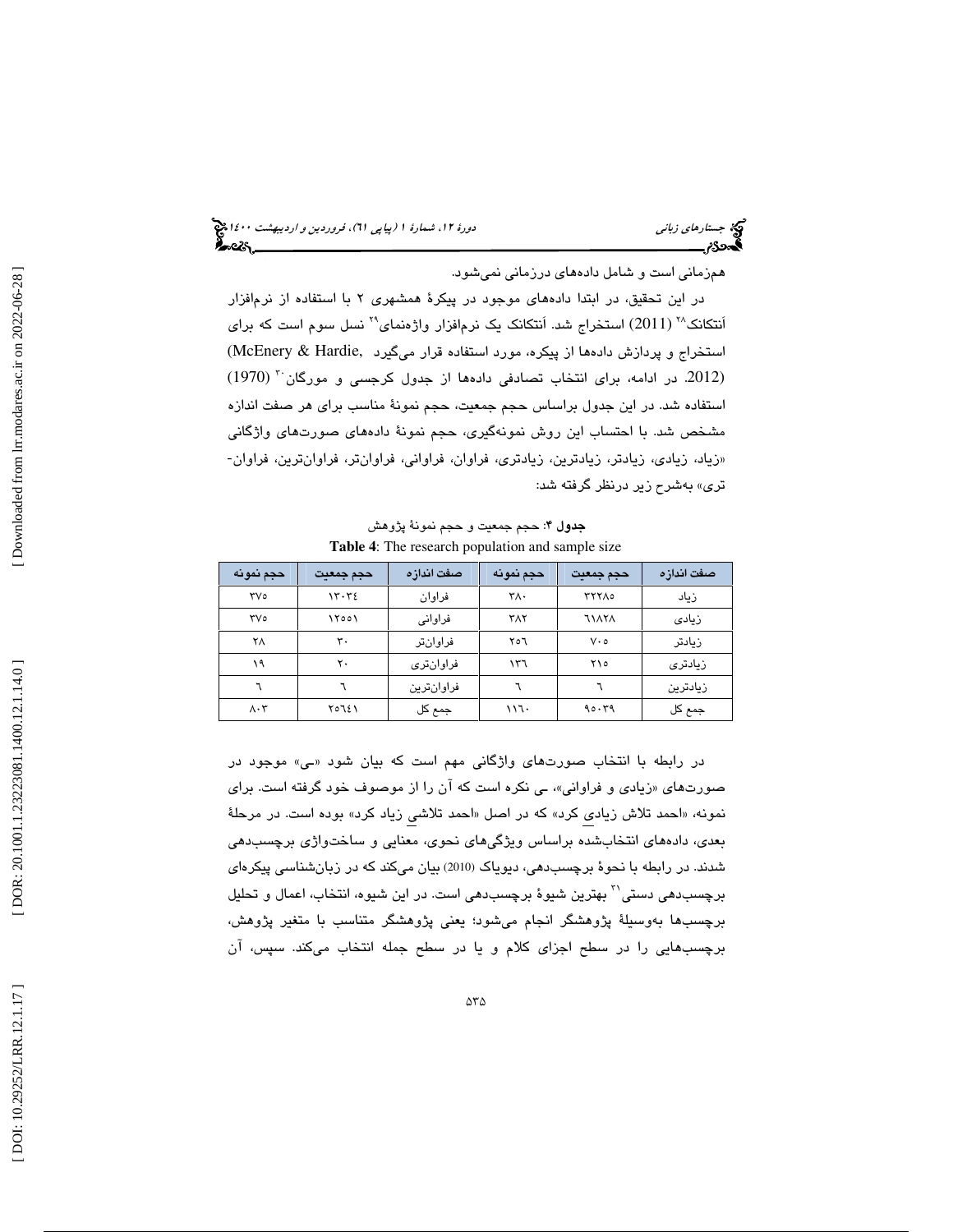جستار*هاي زباني هي المرديبهشت 14*00 المرديبي في المرديب المرديبي المرديبهشت 1400 هجرا بعد المرديب المرديب

همزماني است و شامل دادههاي درزماني نميشود.

در اين تحقيق، در ابتدا دادههاي موجود در پيكرة همشهري 2 با استفاده از نرمافزار اَنتكانک $^{17}$  (2011) استخراج شد. اَنتكانک يک نرمافزار واژهنمای $^{17}$  نسل سوم است که برای استخراج و پردازش دادهها از پيكره، مورد استفاده قرار ميگيرد ,McEnery & Hardie) (1970) <sup>30</sup> (.2012 در ادامه، براي انتخاب تصادفي دادهها از جدول كرجسي و مورگان استفاده شد. در اين جدول براساس حجم جمعيت، حجم نمونة مناسب براي هر صفت اندازه مشخص شد. با احتساب اين روش نمونهگيري، حجم نمونهٔ دادههای صورتهای واژگانی<br>«زياد، زيادی، زيادتر، زيادترين، زيادتری، فراوان، فراوانی، فراوانتر، فراوانترين، فراوان-تري» بهشرح زير درنظر گرفته شد:

جدول 4: حجم جمعيت و حجم نمونة پژوهش **Table 4**: The research population and sample size

| حجم نمونه                | حجم جمعيت | صفت اندازه | حجم نمونه  | حجم جمعيت    | صفت اندازه |
|--------------------------|-----------|------------|------------|--------------|------------|
| ٣V٥                      | ۱۳۰۳٤     | فراوان     | ٣٨٠        | <b>TYYA0</b> | زىاد       |
| ٣V٥                      | ۱۲۰۰۱     | فراوانی    | <b>TAY</b> | 11171        | زيادى      |
| ۲٨                       | ٣٠        | فراوانتر   | ۲٥٦        | $V \cdot o$  | زيادتر     |
| ۱۹                       | ٢٠        | فراوانترى  | ۱۳٦        | ۲۱۰          | زىادترى    |
|                          |           | فراوانترين |            |              | زيادترين   |
| $\Lambda \cdot \Upsilon$ | ۲٥٦٤١     | جمع کل     | ۱۱٦۰       | ۹۵۰۳۹        | جمع کل     |

در رابطه با انتخاب صورتهای واژگانی مهم است که بیان شود «ـی» موجود در صورتها*ی* «زیادی و فراوانی»، ـی نکره است که ان را از موصوف خود گرفته است. برای نمونه، «احمد تلاش زیادی کرد» که در اصل «احمد تلاشی زیاد کرد» بوده است. در مرحلهٔ بعدي، دادههاي انتخابشده براساس ويژگيهاي نحوي، معنايي و ساختواژي برچسبدهي شدند. در رابطه با نحوة برچسبدهي، ديوياك (2010) بيان ميكند كه در زبانشناسي پيكرهاي برچسبدهی دستی $^{\gamma}$  بهترین شیوهٔ برچسبدهی است. در این شیوه، انتخاب، اعمال و تحلیل برچسبها بهوسيلة پژوهشگر انجام ميشود؛ يعني پژوهشگر متناسب با متغير پژوهش، برچسبهايي را در سطح اجزاي كلام و يا در سطح جمله انتخاب ميكند. سپس، آن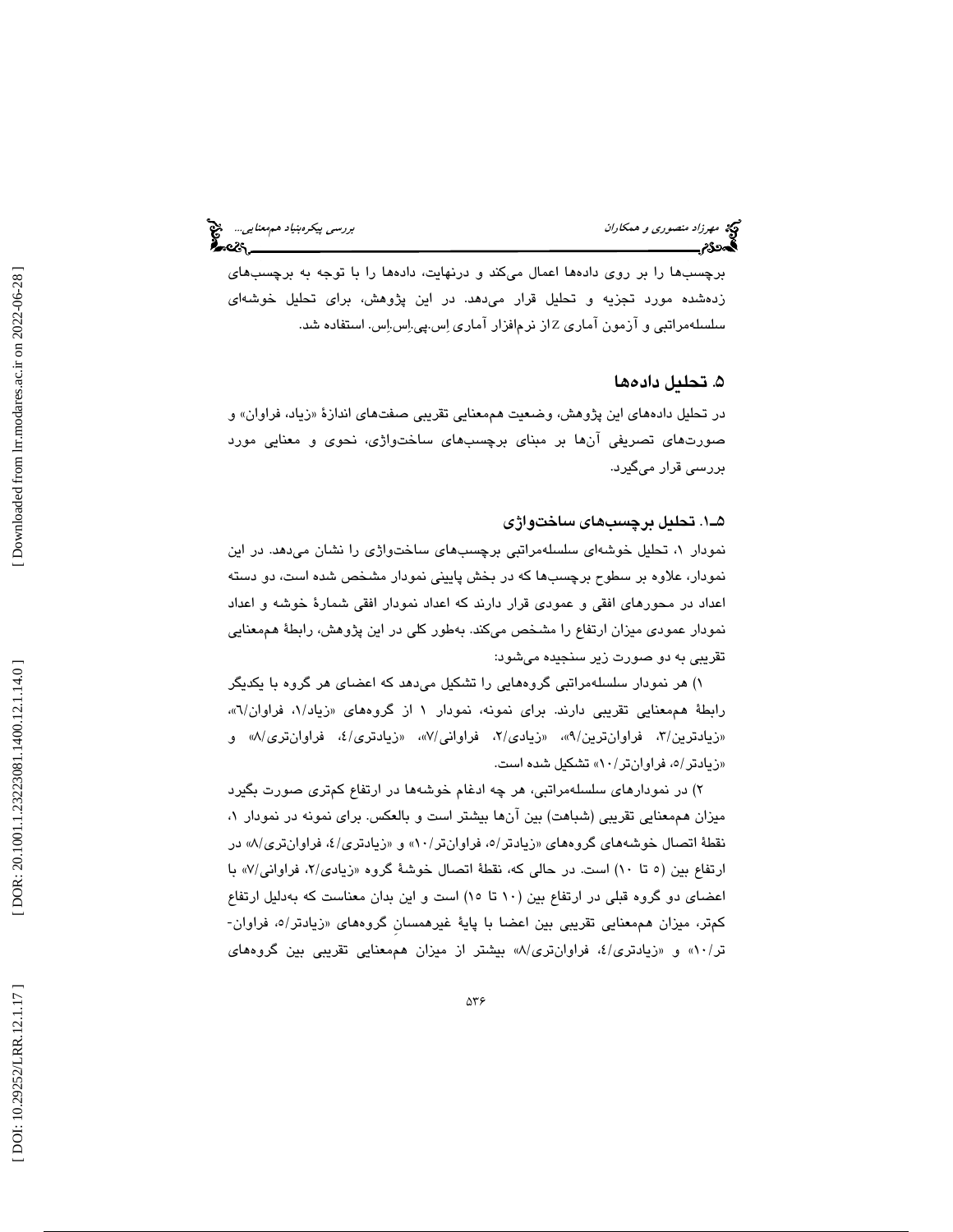# مهرزاد منصوري و همكاران بررسي پيكرهبنياد هم معنايي... هيچ<br>پيمهنگام بررسي پيكرهبنياد بررسي پيكرهبنياد بررسي پيكرهبنياد هم بررسي پيكرهبنياد هم معنايي...<br>پيكس پيكرهبني

برچسبها را بر روي دادهها اعمال ميكند و درنهايت، دادهها را با توجه به برچسبهاي زدهشده مورد تجزيه و تحليل قرار ميدهد. در اين پژوهش، براي تحليل خوشهاي سلسلهمراتبي و ازمون اماري Zاز نرم|فزار اماري اِس.پي.اِس.اِس. استفاده شد.

### . تحليل داده ها 5

در تحليل دادههاي اين پژوهش، وضعيت هممعنايي تقريبي صفتهاي اندازهٔ «زياد، فراوان» و صورتهاي تصريفي آنها بر مبناي برچسبهاي ساختواژي، نحوي و معنايي مورد بررسي قرار ميگيرد.

### 1ـ5 . تحليل برچسبهاي ساختواژي

، تحليل خوشهاي سلسلهمراتبي برچسبهاي ساختواژي را نشان ميدهد. در اين نمودار 1 نمودار، علاوه بر سطوح برچسبها كه در بخش پاييني نمودار مشخص شده است، دو دسته اعداد در محورهاي افقي و عمودي قرار دارند كه اعداد نمودار افقي شمارة خوشه و اعداد نمودار عمودي ميزان ارتفاع را مشخص ميكند. بهطور كلي در اين پژوهش، رابطة هممعنايي تقريبي به دو صورت زير سنجيده ميشود:

) هر نمودار سلسلهمراتبي گروههايي را تشكيل ميدهد كه اعضاي هر گروه با يكديگر 1 رابطهٔ هممعنايي تقريبي دارند. براي نمونه، نمودار ۱ از گروههاي «زياد/۱، فراوان/٦»، «زيادترين/٣، فراوانترين/٩»، «زيا*دى/*٢، فراوانى/٧»، «زيادترى/٤، فراوانترى/ω و «زيادتر/ه، فراوانتر/۸۰» تشكيل شده است.

) در نمودارهاي سلسلهمراتبي، هر چه ادغام خوشهها در ارتفاع كمتري صورت بگيرد 2 ميزان هممعنايي تقريبي (شباهت) بين آنها بيشتر است و بالعكس. براي نمونه در نمودار ، 1 نقطهٔ اتصال خوشههاي گروههاي «زيادتر/ه، فراوانتر/۸۰» و «زيادتري/٤، فراوانتري/٨» در ارتفاع بين (٥ تا ١٠) است. در حالي كه، نقطهٔ اتصال خوشهٔ گروه «زيادى/٢، فراواني/٧» با اعضای دو گروه قبلی در ارتفاع بين (۱۰ تا ۱۰) است و اين بدان معناست كه بهدليل ارتفاع<br>كمتر، ميزان هممعنايی تقريبی بين اعضا با پايهٔ غيرهمسان گروههای «زيادتر/ه، فراوان-تر/۵۰٪ و «زیادتری/٤، فراوانتری/٨» بیشتر از میزان هممعنایی تقریبی بین گروههای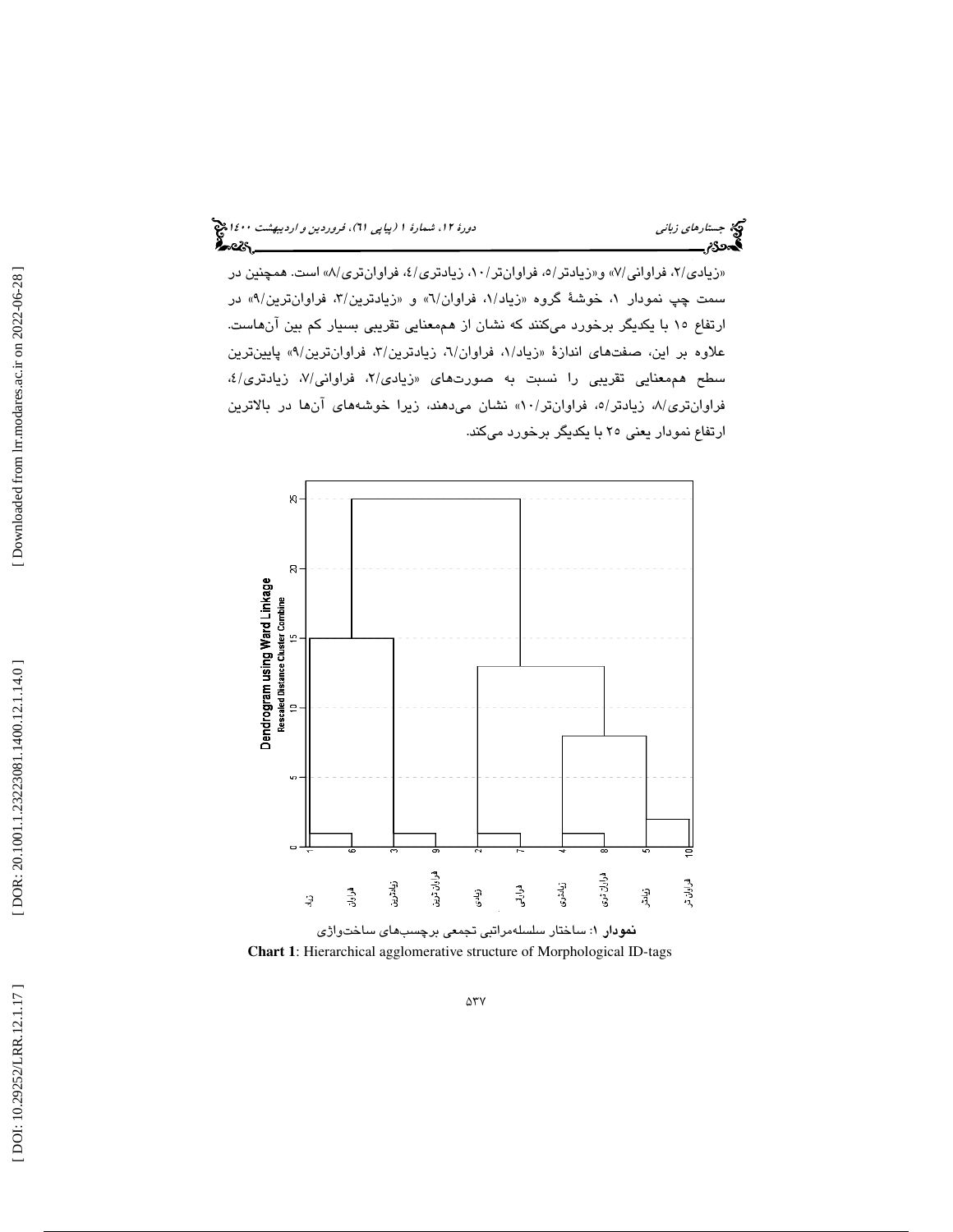«زیادی/۲، فراوانی/۷» و«زیادتر/۰، فراوانتر/۰۱، زیادتری/٤، فراوانتری/۸» است. همچنین در سمت چپ نمودار ۱، خوشهٔ گروه «زیاد/۱، فراوان/٦» و «زیادترین/۳، فراوانترین/۹» در ارتفاع 15 با يكديگر برخورد ميكنند كه نشان از هممعنايي تقريبي بسيار كم بين آنهاست. علاوه بر اين، صفتهاي اندازهٔ «زياد/۱، فراوان/۲، زيادترين/۳، فراوانترين/۹، پايينترين سطح هممعنايي تقريبي را نسبت به صورتهاى «زيا*دى/*۲، فراوانى/۷، زيادترى/٤، فراوانتری/۸، زیادتر/۰، فراوانتر/۱۰، نشان میدهند، زیرا خوشههای انها در بالاترین ارتفاع نمودار يعني 25 با يكديگر برخورد ميكند.



**Chart 1**: Hierarchical agglomerative structure of Morphological ID-tags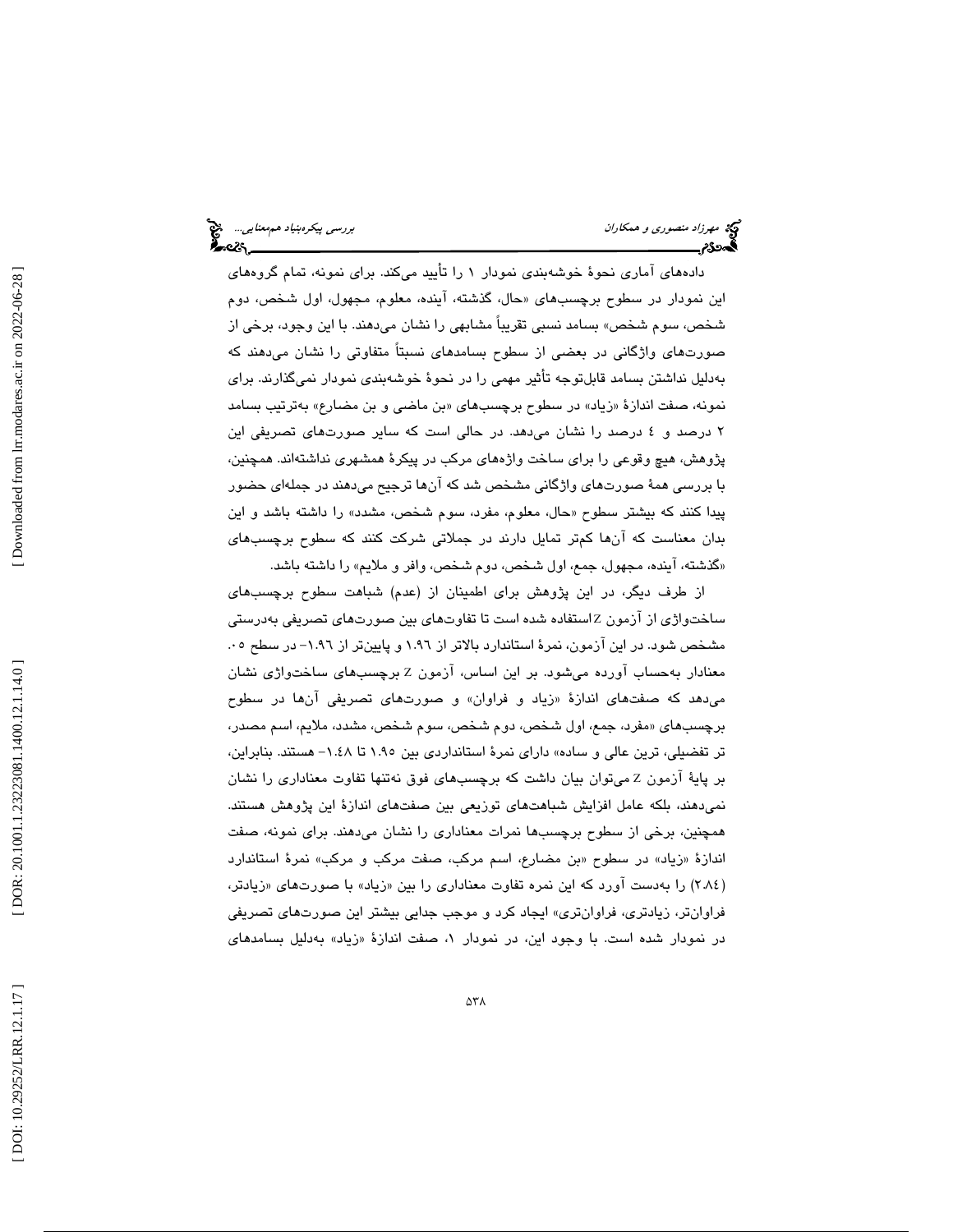دادههاي آماري نحوة خوشهبندي نمودار 1 را تأييد ميكند. براي نمونه، تمام گروههاي اين نمودار در سطوح برچسبهای «حال، گذشته، اينده، معلوم، مجهول، اول شخص، دوم شخص، سوم شخص» بسامد نسبي تقريباً مشابهي را نشان ميدهند. با اين وجود، برخي از صورتهاي واژگاني در بعضي از سطوح بسامدهاي نسبتاً متفاوتي را نشان ميدهند كه بهدليل نداشتن بسامد قابلتوجه تأثير مهمي را در نحوة خوشهبندي نمودار نميگذارند. براي نمونه، صفت اندازهٔ «زیاد» در سطوح برچسبهای «بن ماضی و بن مضارع» بهترتیب بسامد 2 درصد و 4 درصد را نشان ميدهد. در حالي است كه ساير صورتهاي تصريفي اين پژوهش، هيچ وقوعي را براي ساخت واژههاي مركب در پيكرة همشهري نداشتهاند. همچنين، با بررسي همة صورتهاي واژگاني مشخص شد كه آنها ترجيح ميدهند در جملهاي حضور پيدا كنند كه بيشتر سطوح «حال، معلوم، مفرد، سوم شخص، مشدد» را داشته باشد و اين بدان معناست كه آنها كمتر تمايل دارند در جملاتي شركت كنند كه سطوح برچسبهاي گذشته، آينده، مجهول، جمع، اول شخص، دوم شخص، وافر و ملايم» را داشته باشد. »

از طرف ديگر، در اين پژوهش براي اطمينان از (عدم) شباهت سطوح برچسبهاي ساختواژی از ازمون Zاستفاده شده است تا تفاوتهای بین صورتهای تصریفی بهدرستی مشخص شود. در اين آزمون، نمرة استاندارد بالاتر از 1.96 و پايينتر از 1.96 - در سطح . 05 معنادار بهحساب اورده میشود. بر این اساس، ازمون Z برچسبهای ساختواژی نشان میدهد که صفتهای اندازهٔ «زیاد و فراوان» و صورتهای تصریفی انها در سطوح مفرد، جمع، اول شخص، دوم شخص، سوم شخص، مشدد، ملايم، اسم مصدر، برچسبهاي « تر تفضيلي، ترين عالي و ساده» داراي نمرة استانداردي بين 1.95 تا 1.48 - هستند. بنابراين، بر پايهٔ ازمون Z مىتوان بيان داشت كه برچسبهاى فوق نەتنها تفاوت معنادارى را نشان نميدهند، بلكه عامل افزايش شباهتهاي توزيعي بين صفتهاي اندازة اين پژوهش هستند. همچنين، برخي از سطوح برچسبها نمرات معناداري را نشان ميدهند. براي نمونه، صفت اندازهٔ «زیاد» در سطوح «بن مضارع، اسم مركب، صفت مركب و مركب» نمرهٔ استاندارد (٢.٨٤) را بهدست اورد كه اين نمره تفاوت معناداري را بين «زياد» با صورتهاي «زيادتر، فراوانتر، زيادتري، فراوانتري» ايجاد كرد و موجب جدايي بيشتر اين صورتهاي تصريفي در نمودار شده است. با وجود اين، در نمودار ۱، صفت اندازهٔ «زياد» بهدليل بسامدها*ی*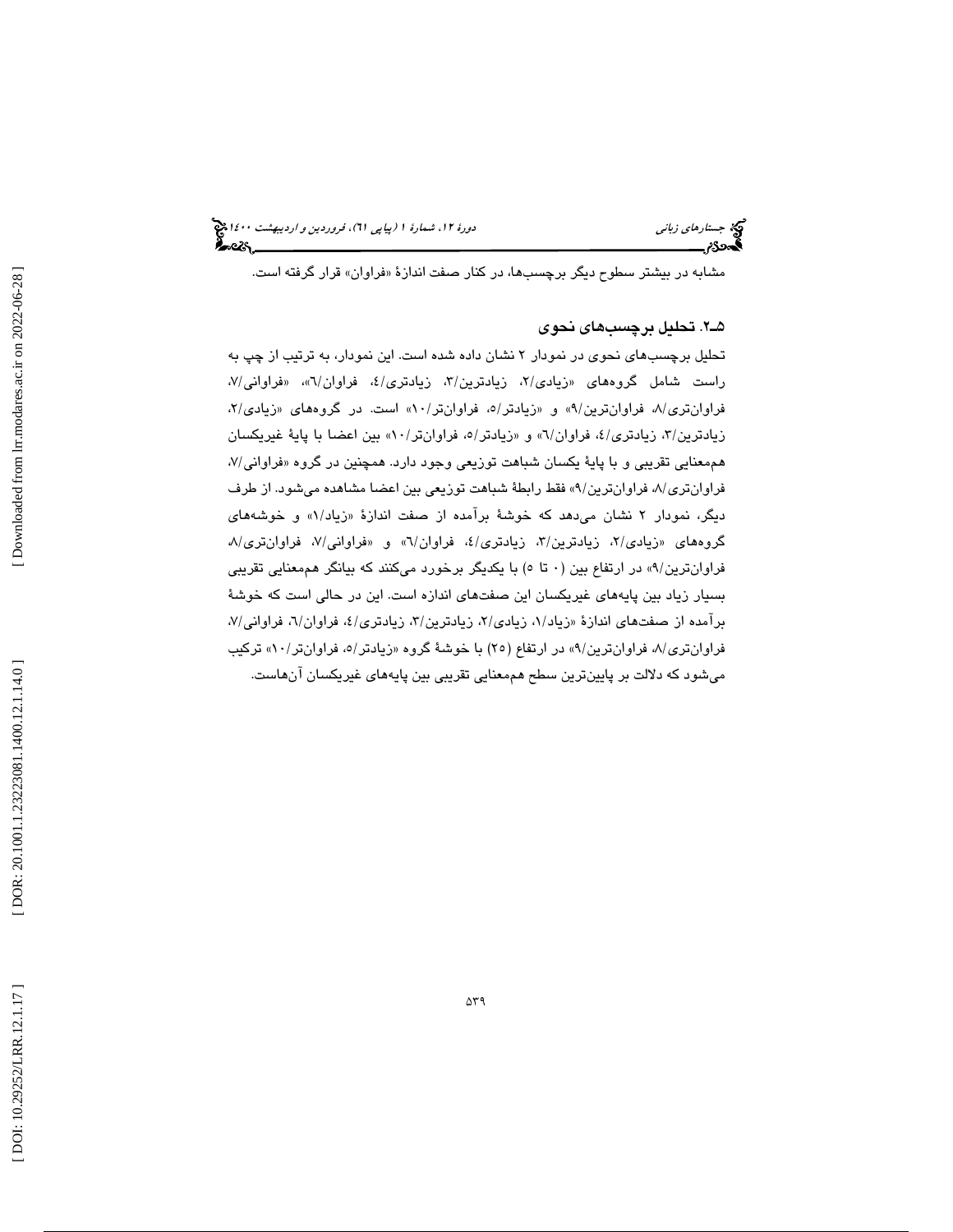مشابه در بیشتر سطوح دیگر برچسبها، در كنار صفت اندازهٔ «فراوان» قرار گرفته است.

### 2ـ5 . تحليل برچسبهاي نحوي

تحليل برچسبهاي نحوي در نمودار 2 نشان داده شده است. اين نمودار، به ترتيب از چپ به راست شامل گروههای «زیادی/۲، زیادترین/۳، زیادتری/٤، فراوان/٦»، «فراوانی/۷، فراوانتری/۸، فراوانترین/۹، و «زیادتر/۰، فراوانتر/۰۱، است. در گروههای «زیادی/۲، زيادترين/٣، زيادتري/٤، فراوان/٦» و «زيادتر/٥، فراوانتر/٥٠» بين اعضا با پايهٔ غيريكسان هممعنايي تقريبي و با پايهٔ يكسان شباهت توزيعي وجود دارد. همچنين در گروه «فراواني/۷، فراوانتری/۸، فراوانترین/۹» فقط رابطهٔ شباهت توزیعی بین اعضا مشاهده میشود. از طرف ديگر، نمودار ۲ نشان میدهد که خوشهٔ برامده از صفت اندازهٔ «زیاد/۱» و خوشههای گروههاي «زيادي/۲، زيادترين/۳، زيادتري/٤، فراوان/٦» و «فراواني/۷، فراوانتري/۸ فراوانترين/٩» در ارتفاع بين (٠ تا ٥) با يكديگر برخورد مىكنند كه بيانگر هممعنايي تقريبي بسيار زياد بين پايههاي غيريكسان اين صفتهاي اندازه است. اين در حالي است كه خوشة برامده از صفتهای اندازهٔ «زیاد/۱، زیادی/۲، زیادترین/۳، زیادتری/٤، فراوان/٦، فراوانی/۷، فراوانتری/۸، فراوانترین/۹) در ارتفاع (۲۵) با خوشهٔ گروه «زیادتر/۰، فراوانتر/۰۱» ترکیب میشود که دلالت بر پایینترین سطح هممعنایی تقریبی بین پایههای غیریکسان انهاست.

[ DOI: 10.29252/LRR.12.1.17 ] [ DOR: 20.1001.1.23223081.1.14.0 ] [\[ Downloaded from lrr.modares.ac.ir on 20](https://lrr.modares.ac.ir/article-14-28400-fa.html)22-06-28 ] [Downloaded from lrr.modares.ac.ir on 2022-06-28]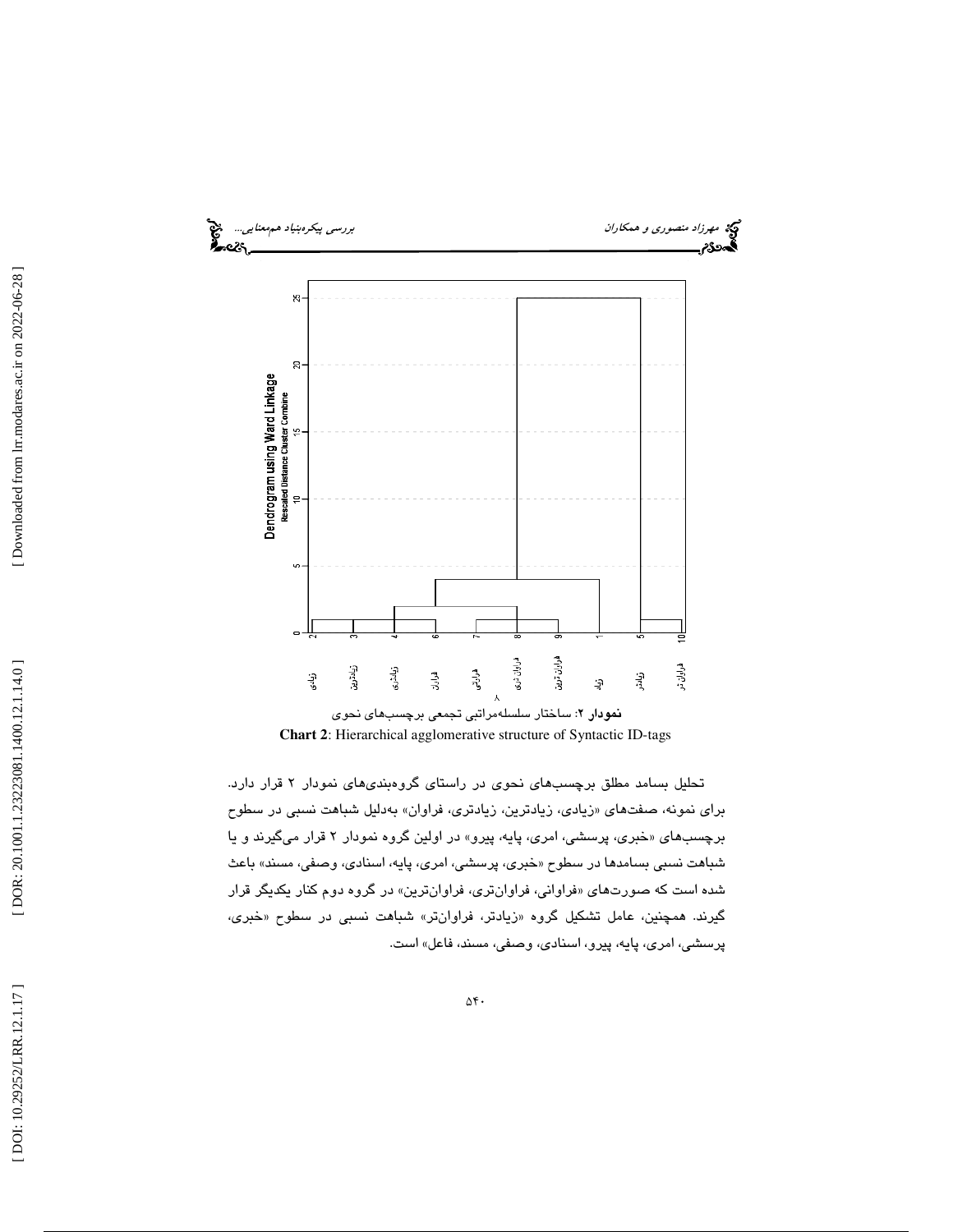

**Chart 2**: Hierarchical agglomerative structure of Syntactic ID-tags

تحليل بسامد مطلق برچسبهاي نحوي در راستاي گروهبنديهاي نمودار 2 قرار دارد. براي نمونه، صفتهاي «زيادي، زيادترين، زيادتري، فراوان» بەدليل شباهت نسبي در سطوح برچسبهای «خبری، پرسشی، امری، پايه، پیرو» در اولین گروه نمودار ۲ قرار میگیرند و یا شباهت نسبي بسامدها در سطوح «خبری، پرسشی، امری، پايه، اسنادی، وصفی، مسند» باعث شده است كه صورتها*ی* «فراوانی، فراوانتری، فراوانترین» در گروه دوم كنار یكدیگر قرار گيرند. همچنين، عامل تشكيل گروه «زيادتر، فراوانتر» شباهت نسب*ي* در سطوح «خبر*ى،* پرسشي، امري، پايه، پيرو، اسنادي، وصفي، مسند، فاعل» است.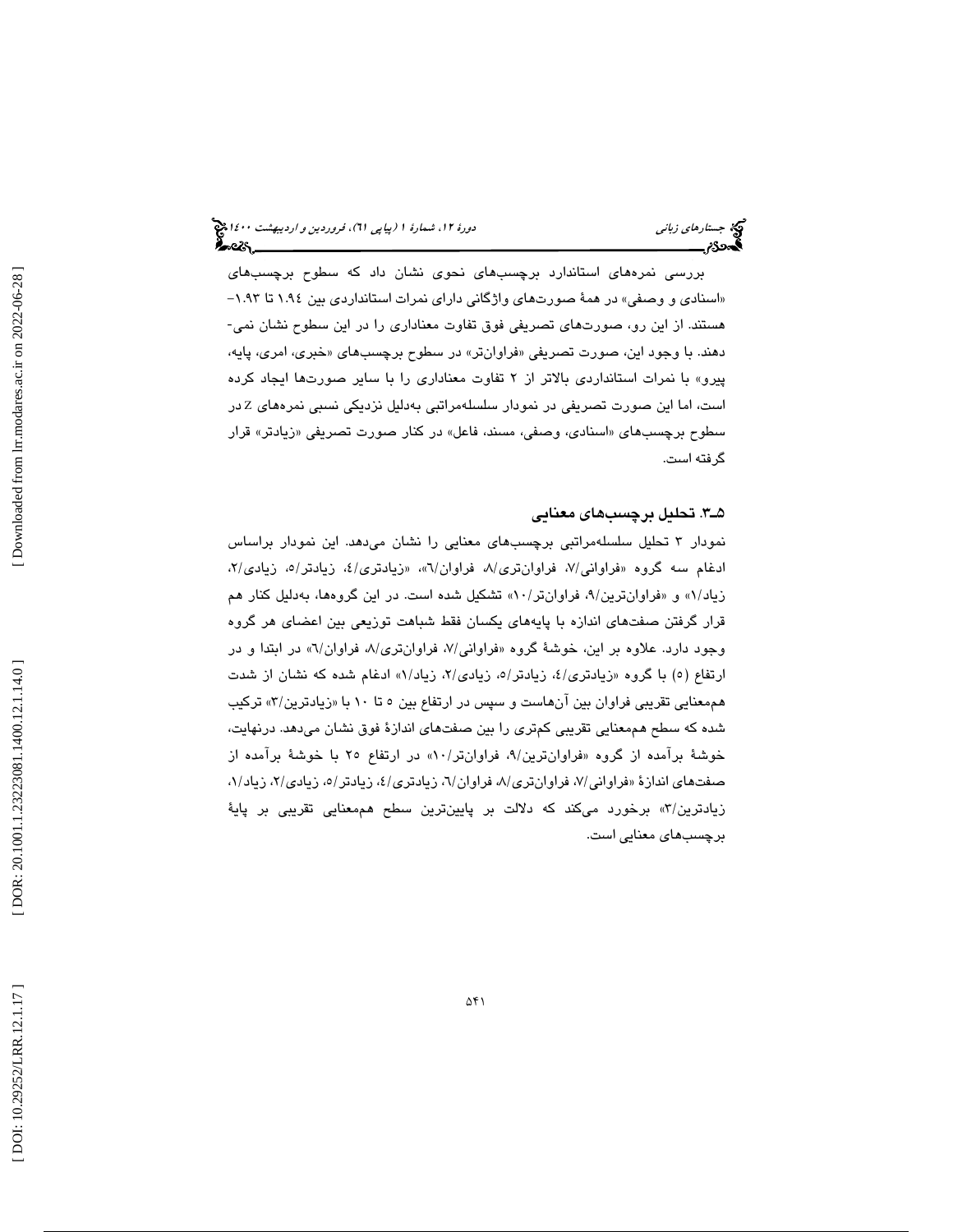بررسي نمر ههاي استاندارد برچسبهاي نحوي نشان داد كه سطوح برچسبهاي «اسنادی و وصفی» در همهٔ صورتهای واژگانی دارای نمرات استانداردی بین ۱.۹٤ تا ۱.۹۳– هستند. از اين رو، صورتهاي تصريفي فوق تفاوت معناداري را در اين سطوح نشان نمي- دهند. با وجود اين، صورت تصريفي «فراوانتر» در سطوح برچسبهاي «خبري، امري، پايه، پيرو» با نمرات استانداردي بالاتر از 2 تفاوت معناداري را با ساير صورتها ايجاد كرده است، اما این صورت تصریفی در نمودار سلسلهمراتبی بهدلیل نزدیکی نسبی نمرههای Z در سطوح برچسبهای «اسنادی، وصفی، مسند، فاعل» در كنار صورت تصریفی «زیادتر» قرار گرفته است.

### 3ـ5 . تحليل برچسبهاي معنايي

نمودار ت 3 حليل سلسلهمراتبي برچسبهاي معنايي را نشان ميدهد. اين نمودار براساس ادغام سه گروه «فراوانی/۷، فراوانتری/۸، فراوان/٦»، «زیادتری/٤، زیادتر/٥، زیادی/۲، زیاد/۱» و «فراوانترین/۹، فراوانتر/۱۰» تشکیل شده است. در این گروهها، بهدلیل کنار هم قرار گرفتن صفتهاي اندازه با پايههاي يكسان فقط شباهت توزيعي بين اعضاي هر گروه وجود دارد. علاوه بر این، خوشهٔ گروه «فراوانی/۷، فراوانتری/۸، فراوان/۲» در ابتدا و در ارتفاع (٥) با گروه «زیادتری/٤، زیادتر/٥، زیادی/٢، زیاد/١» ادغام شده که نشان از شدت هممعنايي تقريبي فراوان بين انهاست و سپس در ارتفاع بين ٥ تا ١٠ با «زيادترين/٣» تركيب شده كه سطح هممعنايي تقريبي كمتري را بين صفتهاي انداز ة فوق نشان ميدهد. درنهايت، خوشهٔ برامده از گروه «فراوانترین/۹، فراوانتر/۱۰» در ارتفاع ۲۵ با خوشهٔ برامده از صفتهای اندازهٔ «فراوانی/۷، فراوانتری/۸، فراوان/۲، زیادتری/٤، زیادتر/٥، زیادی/۲، زیاد/۱، زيادترين/٣» برخورد میکند که دلالت بر پايينترين سطح هممعنايی تقريبی بر پايهٔ برچسبهاي معنايي است.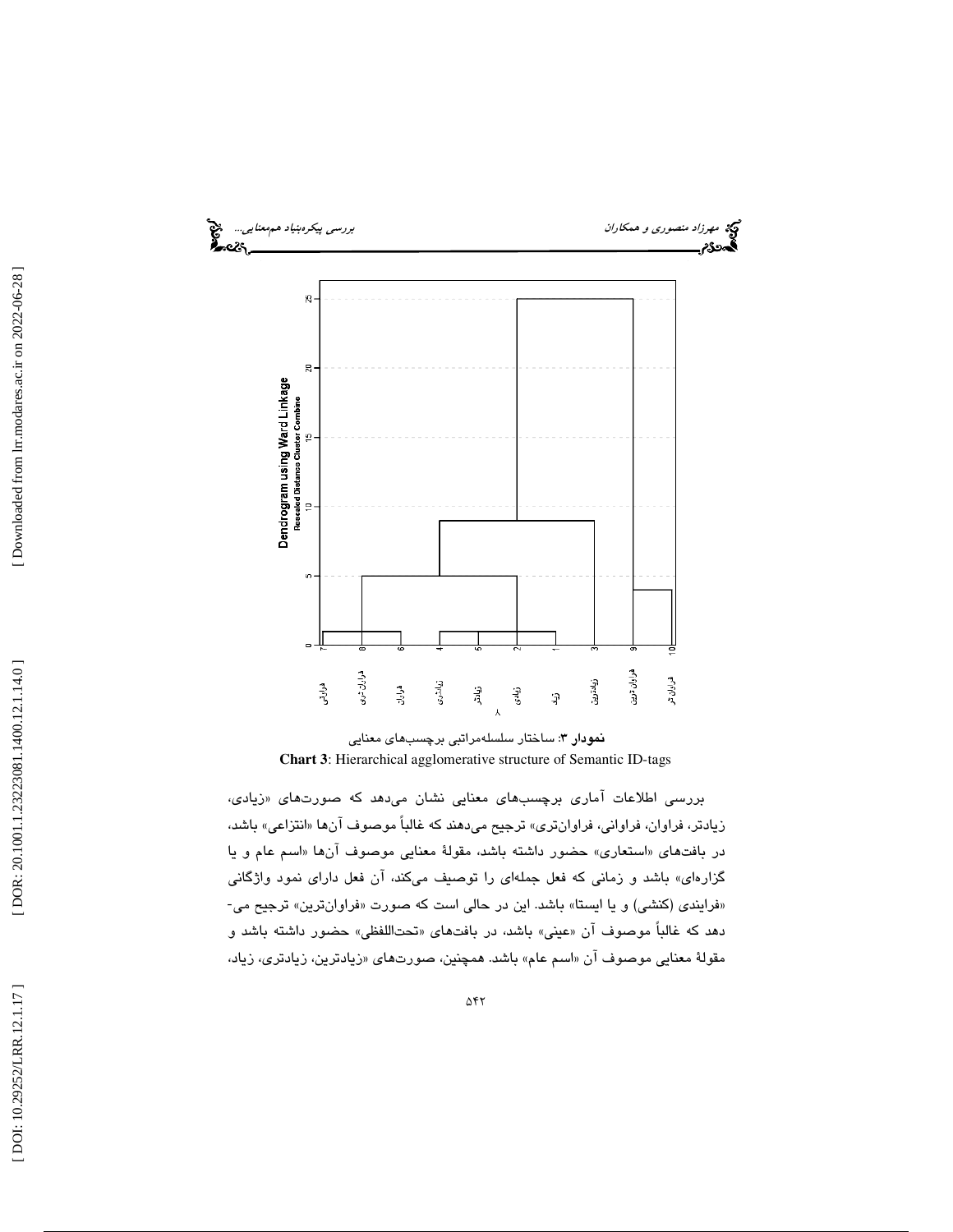

نمودار 3: ساختار سلسلهمراتبي برچسبهاي معنايي **Chart 3**: Hierarchical agglomerative structure of Semantic ID-tags

بررسی اطلاعات اماری برچسبهای معنایی نشان میدهد که صورتهای «زیا*دی*، زيادتر، فراوان، فراواني، فراوانتري» ترجيح ميدهند كه غالباً موصوف آن «ها انتزاعي» باشد، در بافتهای «استعاری» حضور داشته باشد، مقولهٔ معنایی موصوف انها «اسم عام و یا گزارهای» باشد و زمانی كه فعل جملهای را توصیف میكند، آن فعل دارای نمود واژگانی<br>«فرایندی (كنشی) و یا ایستا» باشد. این در حالی است كه صورت «فراوانترین» ترجیح می-دهد که غالباً موصوف ان «عینی» باشد، در بافتهای «تحتاللفظی» حضور داشته باشد و مقولهٔ معنايي موصوف ان «اسم عام» باشد. همچنين، صورتهاي «زيادترين، زيادتري، زياد،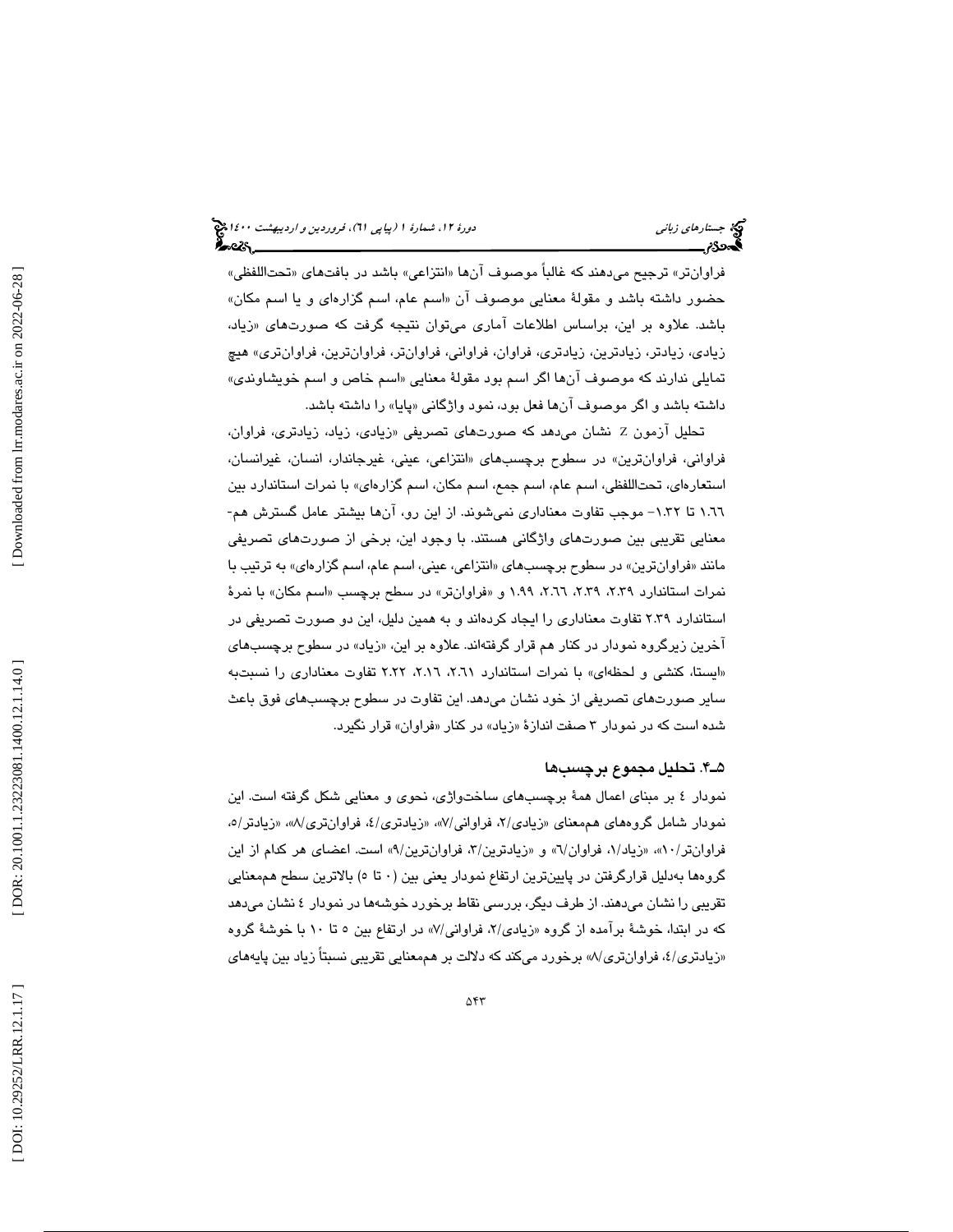فراوانتر» ترجيح ميدهند كه غالباً موصوف آنها «انتزاعي» باشد در بافتهاي «تحتاللفظي» حضور داشته باشد و مقولهٔ معنايي موصوف ان «اسم عام، اسم گزارهای و یا اسم مكان» باشد. علاوه بر اين، براساس اطلاعات اماری میتوان نتيجه گرفت که صورتهای «زياد، زيادي، زيادتر، زيادترين، زيادتري، فراوان، فراواني، فراوانتر، فراوانترين، فراوانتري» هيچ تمايلي ندارند كه موصوف انها اگر اسم بود مقولهٔ معنايي «اسم خاص و اسم خويشاون*د*ی» داشته باشد و اگر موصوف انها فعل بود، نمود واژگانی «پایا» را داشته باشد.

تحلیل ازمون Z نشان میدهد که صورتهای تصریفی «زیادی، زیاد، زیادتری، فراوان، فراواني، فراوانترين» در سطوح برچسبهاي «انتزاعي، عيني، غيرجاندار، انسان، غيرانسان، استعارهاي، تحتاللفظي، اسم عام، اسم جمع، اسم مكان، اسم گزارهاي» با نمرات استاندارد بين 1.66 تا 1.32 - موجب تفاوت معناداري نميشوند. از اين رو، آنها بيشتر عامل گسترش هم- معنايي تقريبي بين صورتهاي واژگاني هستند. با وجود اين، برخي از صورتهاي تصريفي مانند «فراوانترين» در سطوح برچسبهاي «انتزاعي، عيني، اسم عام، اسم گزارهاي» به ترتيب با نمرات استاندارد ۲.۳۹، ۲.۲۹، ۲.۶۱، ۲.۹۹، و «فراوانتر» در سطح برچسب «اسم مكان» با نمرهٔ استاندارد 2.39 تفاوت معناداري را ايجاد كردهاند و به همين دليل، اين دو صورت تصريفي در اخرين زيرگروه نمودار در كنار هم قرار گرفتهاند. علاوه بر اين، «زياد» در سطوح برچسبها*ی* ايستا، كنشي و لحظهاي» با نمرات استاندارد ،2.61 ،2.16 2.22 تفاوت معناداري را نسبتبه » ساير صورتهاي تصريفي از خود نشان ميدهد. اين تفاوت در سطوح برچسبهاي فوق باعث شده است كه در نمودار ۳ صفت اندازهٔ «زیاد» در كنار «فراوان» قرار نگیرد.

### 4ـ5 . تحليل مجموع برچسب ها

نمودار 4 بر مبناي اعمال همة برچسبهاي ساختواژي، نحوي و معنايي شكل گرفته است. اين نمودار شامل گروههاي هممعناي «زيادي/۲، فراواني/۷»، «زيادتري/٤، فراوانتري/۷»، «زيادتر/٥، فراوانتر/۸۰»، «زیاد/۱، فراوان/۲» و «زیادترین/۲، فراوانترین/۹» است. اعضای هر کدام از این گروهها بهدليل قرارگرفتن در پايينترين ارتفاع نمودار يعني بين ( 0 5تا ) بالاترين سطح هممعنايي تقريبي را نشان ميدهند. از طرف ديگر، بررسي نقاط برخورد خوشهها در نمودار 4 نشان ميدهد که در ابتدا، خوشهٔ برامده از گروه «زیادی/۲، فراوانی/۷» در ارتفاع بین ۵ تا ۱۰ با خوشهٔ گروه «زيادتری/٤، فراوانتری/٨» برخورد میکند که دلالت بر هممعنايي تقريبي نسبتاً زياد بين پايههای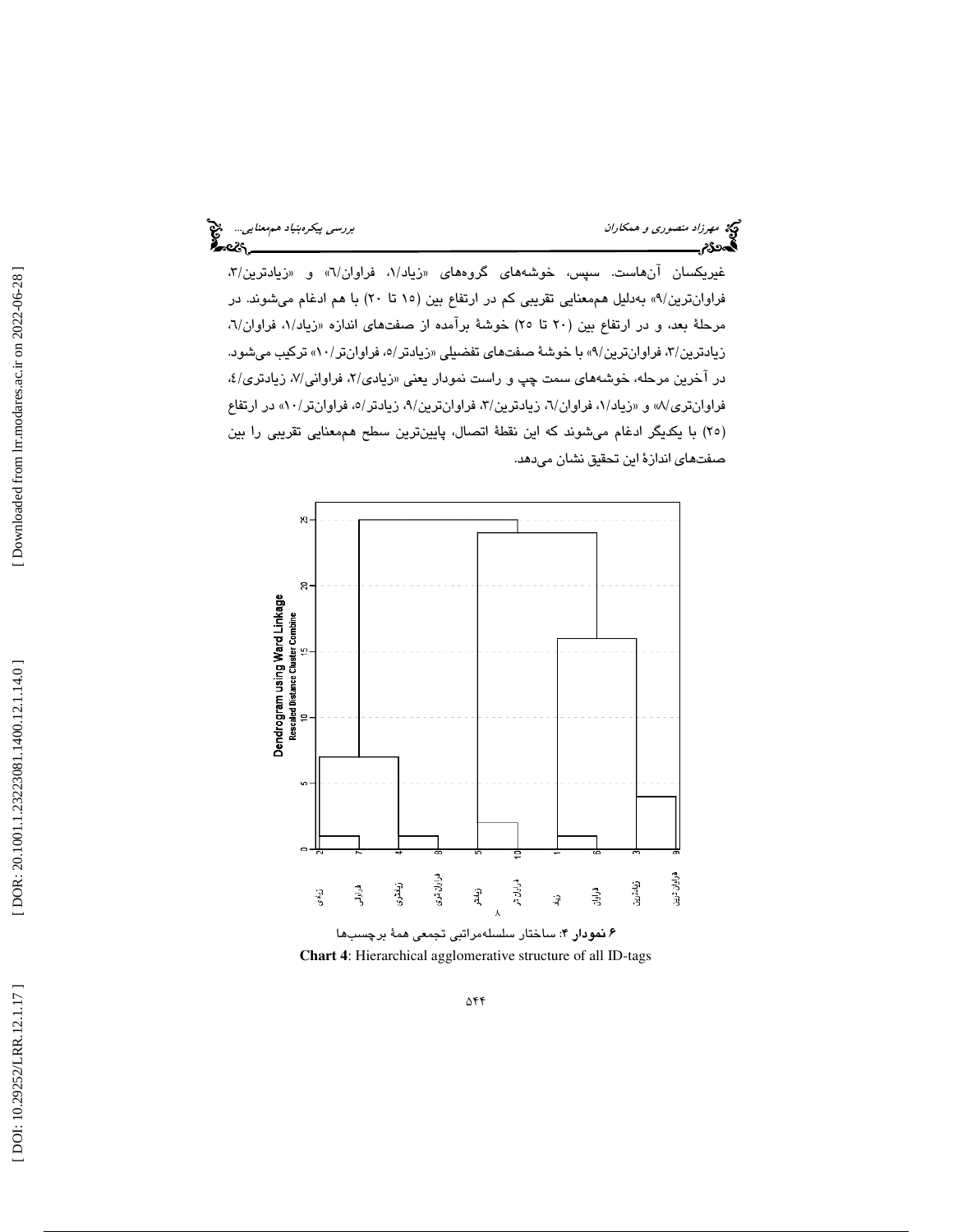غيريكسان انهاست. سپس، خوشەها*ی* گروههای «زياد/۱، فراوان/۲» و «زيادترين/۳، فراوانترين/٩» بەدليل هممعنايي تقريبي كم در ارتفاع بين (١٥ تا ٢٠) با هم ادغام ميشوند. در مرحلهٔ بعد، و در ارتفاع بین (۲۰ تا ۲۰) خوشهٔ برامده از صفتهای اندازه «زیاد/۱، فراوان/۲، زيادترين/٣، فراوانترين/٩» با خوشهٔ صفتهاي تفضيلي «زيادتر/٥، فراوانتر/١٠)» تركيب ميشود. در اخرين مرحله، خوشههاي سمت چپ و راست نمودار يعني «زيادي/۲، فراواني/۷، زيادتري/٤، فراوانتری/۸» و «زیاد/۱، فراوان/۲، زیادترین/۳، فراوانترین/۹، زیادتر/۰، فراوانتر/۱۰» در ارتفاع (٢٥) با يكديگر ادغام ميشوند كه اين نقطهٔ اتصال، پايينترين سطح هممعنايي تقريبي را بين صفتهاي اندازهٔ اين تحقيق نشان ميدهد.



۶ **نمودار ۴**: ساختار سلسلهمراتبی تجمعی همهٔ برچسبها **Chart 4**: Hierarchical agglomerative structure of all ID-tags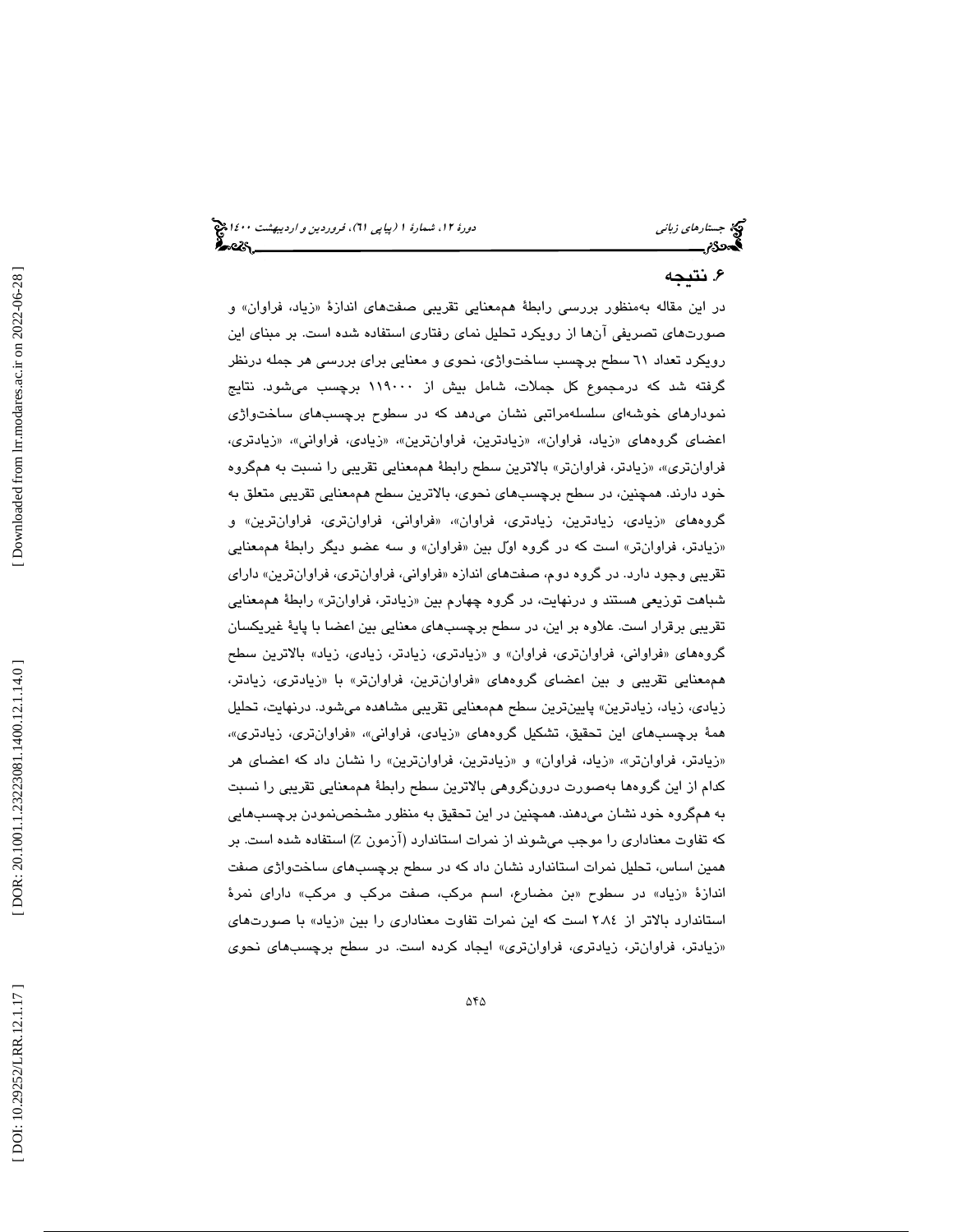### . نتيجه 6

در اين مقاله بهمنظور بررسى رابطهٔ هممعنايي تقريبي صفتهاى اندازهٔ «زياد، فراوان» و صورتهاي تصريفي آنها از رويكرد تحليل نماي رفتاري استفاده شده است. بر مبناي اين رويكرد تعداد 61 سطح برچسب ساختواژي، نحوي و معنايي براي بررسي هر جمله درنظر گرفته شد كه درمجموع كل جملات، شامل بيش از 119000 برچسب ميشود. نتايج نمودارهاي خوشهاي سلسلهمراتبي نشان ميدهد كه در سطوح برچسبهاي ساختواژي اعضاي گروههاي «زياد، فراوان»، «زيادترين، فراوانترين»، «زيادي، فراواني»، «زيادتري، فراوانتری»، «زيادتر، فراوانتر» بالاترين سطح رابطهٔ هممعنايي تقريبي را نسبت به همگروه خود دارند. همچنين، در سطح برچسبهاي نحوي، بالاترين سطح هممعنايي تقريبي متعلق به گروههاي «زيادي، زيادترين، زيادتري، فراوان»، «فراواني، فراوانتري، فراوانترين» و «زیادتر، فراوانتر» است كه در گروه اوّل بین «فراوان» و سه عضو دیگر رابطهٔ هممعنایی تقريبي وجود دارد. در گروه دوم، صفتهاي اندازه «فراواني، فراوانتري، فراوانترين» داراي شباهت توزيعي هستند و درنهايت، در گروه چهارم بين «زيادتر، فراوان $\mathfrak{v}$ س رابطهٔ هممعنايي تقريبي برقرار است. علاوه بر اين، در سطح برچسبهاي معنايي بين اعضا با پاية غيريكسان گروههای «فراوانی، فراوانتری، فراوان» و «زیادتری، زیادتر، زیادی، زیاد» بالاترین سطح هممعنايي تقريبي و بين اعضاي گروههاي «فراوانترين، فراوانتر» با «زيادتري، زيادتر، زيادي، زياد، زيادترين» پايينترين سطح هممعنايي تقريبي مشاهده ميشود. درنهايت، تحليل همهٔ برچسبهای این تحقیق، تشکیل گروههای «زیادی، فراوانی»، «فراوانتری، زیادتری»، «زيادتر، فراوانتر»، «زياد، فراوان» و «زيادترين، فراوانترين» را نشان داد كه اعضاي هر كدام از اين گروهها بهصورت درونگروهي بالاترين سطح رابطة هممعنايي تقريبي را نسبت به همگروه خود نشان ميدهند. همچنين در اين تحقيق به منظور مشخصنمودن برچسبهايي که تفاوت معناداری را موجب میشوند از نمرات استاندارد (ازمون Z) استفاده شده است. بر همين اساس، تحليل نمرات استاندارد نشان داد كه در سطح برچسبهاي ساختواژي صفت اندازهٔ «زیاد» در سطوح «بن مضارع، اسم مركب، صفت مركب و مركب» دارای نمرهٔ استاندارد بالاتر از ۲.۸٤ است كه اين نمرات تفاوت معناداري را بين «زياد» با صورتهاي زيادتر، فراوانتر، زيادتري، فراوانتري» ايجاد كرده است. در سطح برچسبهاي نحوي »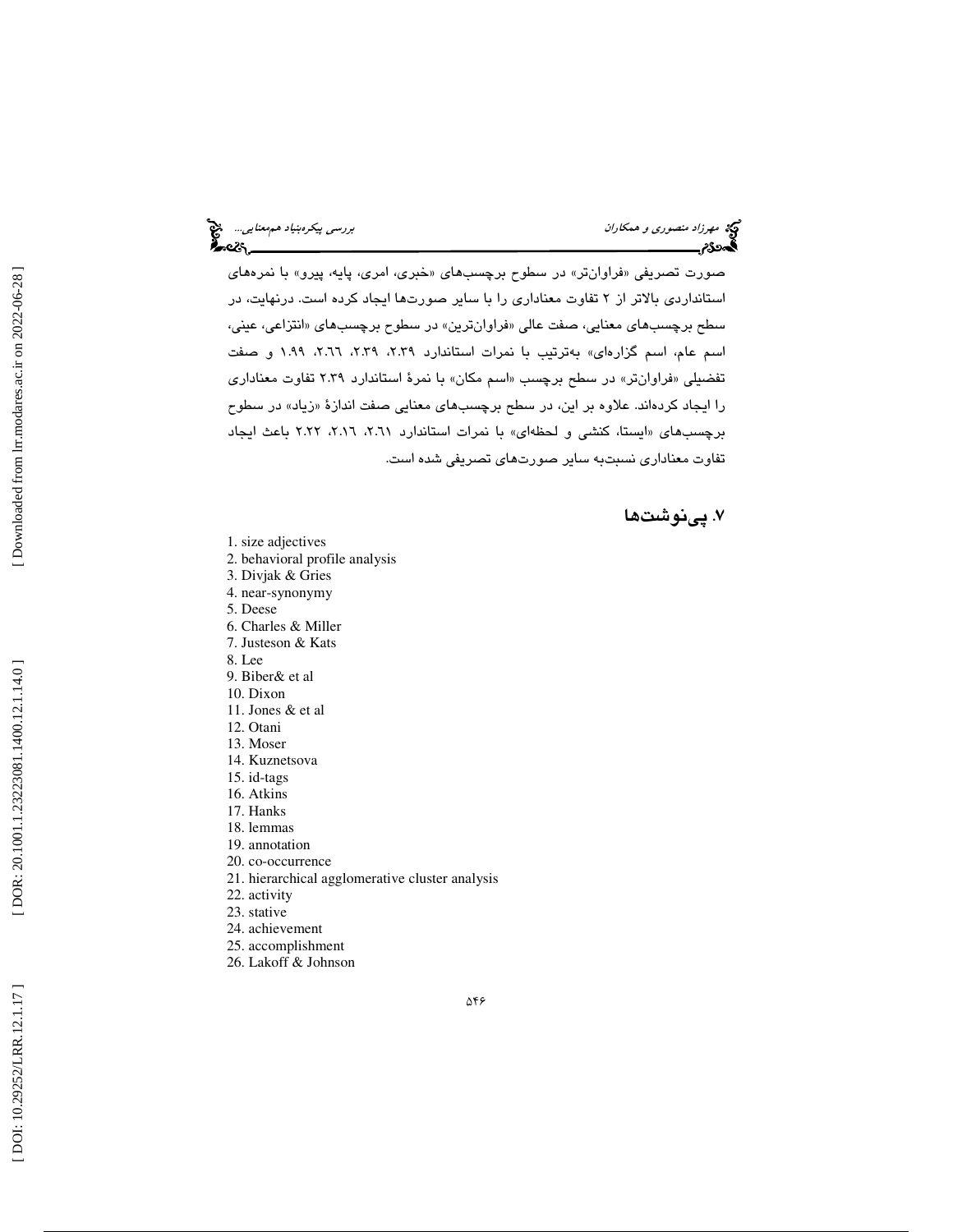صورت تصريفي «فراوانتر» در سطوح برچسبهاي «خبري، امري، پايه، پيرو» با نمرههاي استانداردي بالاتر از 2 تفاوت معناداري را با ساير صورتها ايجاد كرده است. درنهايت، در سطح برچسبها*ی* معنایی، صفت عالی «فراوانترین» در سطوح برچسبهای «انتزاعی، عینی، اسم عام، اسم گزارهاي» بهترتيب با نمرات استاندارد ،2.39 ،2.39 ،2.66 1.99 و صفت تفضیلی «فراوانتر» در سطح برچسب «اسم مکان» با نمرهٔ استاندارد ۲.۳۹ تفاوت معناداری را ايجاد كردهاند. علاوه بر اين، در سطح برچسبهای معنايي صفت اندازهٔ «زياد» در سطوح برچسبهای «ایستا، کنشی و لحظهای» با نمرات استاندارد ۲.۱۱، ۲.۱۲، ۲.۲۲ باعث ایجاد تفاوت معناداري نسبتبه ساير صورتهاي تصريفي شده است.

### . پينوشت ها 7

- 1. size adjectives
- 2. behavioral profile analysis
- 3. Divjak & Gries
- 4. near-synonymy
- 5. Deese
- 6. Charles & Miller
- 7. Justeson & Kats
- 8. Lee
- 9. Biber& et al
- 10. Dixon
- 11. Jones & et al
- 12. Otani
- 13. Moser
- 14. Kuznetsova
- 15. id-tags
- 16. Atkins 17. Hanks
- 18. lemmas
- 19. annotation
- 20. co-occurrence
- 21. hierarchical agglomerative cluster analysis
- 22. activity
- 23. stative
- 24. achievement
- 25. accomplishment
- 26. Lakoff & Johnson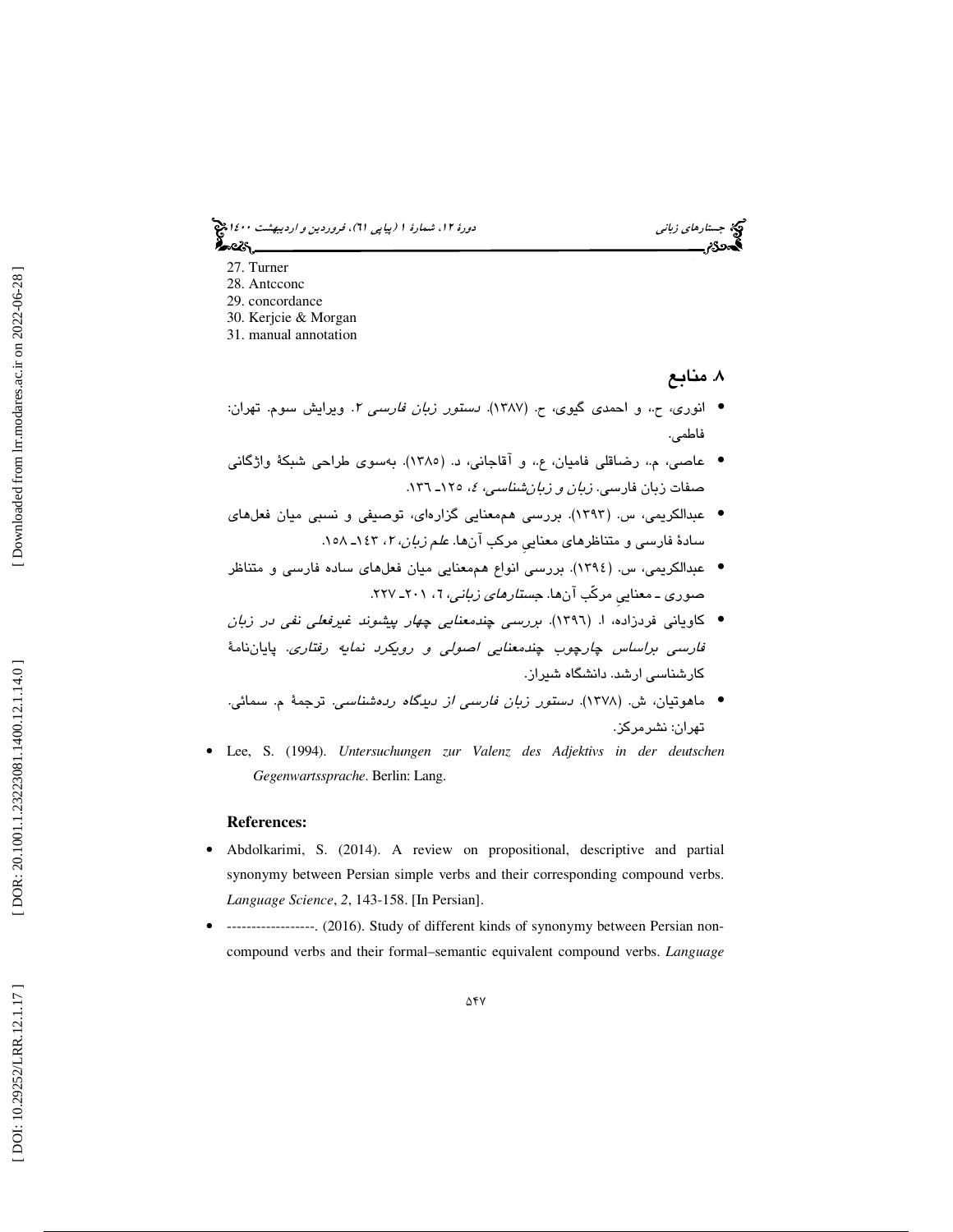جستار*هاي زباني هي المرديبهشت 14*00 المرديبي في المرديب المرديبي المرديبهشت 1400 هجرا بعد المرديب المرديب

- 27. Turner
- 28. Antcconc
- 29. concordance
- 30. Kerjcie & Morgan
- 31. manual annotation

. منابع ۸. منابع

- انوري، ح،. و احمدي گيوي، ح. (1387). دستور زبان فارسي 2. ويرايش سوم. تهران: فاطمي.
- عاصي، م،. رضاقلي فاميان، ع،. و آقاجاني، د. (1385). بهسوي طراحي شبكة واژگاني صفات زبان فارس*ی. زبان و زبانشناسی، ٤،* ١٢٥ـ ١٣٦.
- عبدالكريمي، س. (1393). بررسي هممعنايي گزارهاي، توصيفي و نسبي ميان فعلهاي سادهٔ فارسی و متناظرهای معنایی مرکب انها. *علم زبان، ۲*، ۱۶۳ـ ۱۰۸.
- عبدالكريمي، س. (1394). بررسي انواع هممعنايي ميان فعلهاي ساده فارسي و متناظر صنوری ــ معنایی مرکّب انها. ج*ستارهای زبانی*، 7، ۲۰۱ـ ۲۲۷.
- كاوياني فردزاده، ا. (1396). بررسي چندمعنايي چهار پيشوند غيرفعلي نفي در زبان فارسي براساس چارچوب چندمعنايي اصولي و رويكرد نمايه رفتاري. پاياننامة كارشناسي ارشد. دانشگاه شيراز.
- ماهوتيان، ش. (1378). دستور زبان فارسي از ديدگاه ردهشناسي. ترجمة م. سمائي. تهران: نشرمركز.
- Lee, S. (1994). *Untersuchungen zur Valenz des Adjektivs in der deutschen Gegenwartssprache*. Berlin: Lang.

### **References:**

- Abdolkarimi, S. (2014). A review on propositional, descriptive and partial synonymy between Persian simple verbs and their corresponding compound verbs. *Language Science*, *2*, 143-158. [In Persian].
- ------------------. (2016). Study of different kinds of synonymy between Persian noncompound verbs and their formal–semantic equivalent compound verbs. *Language*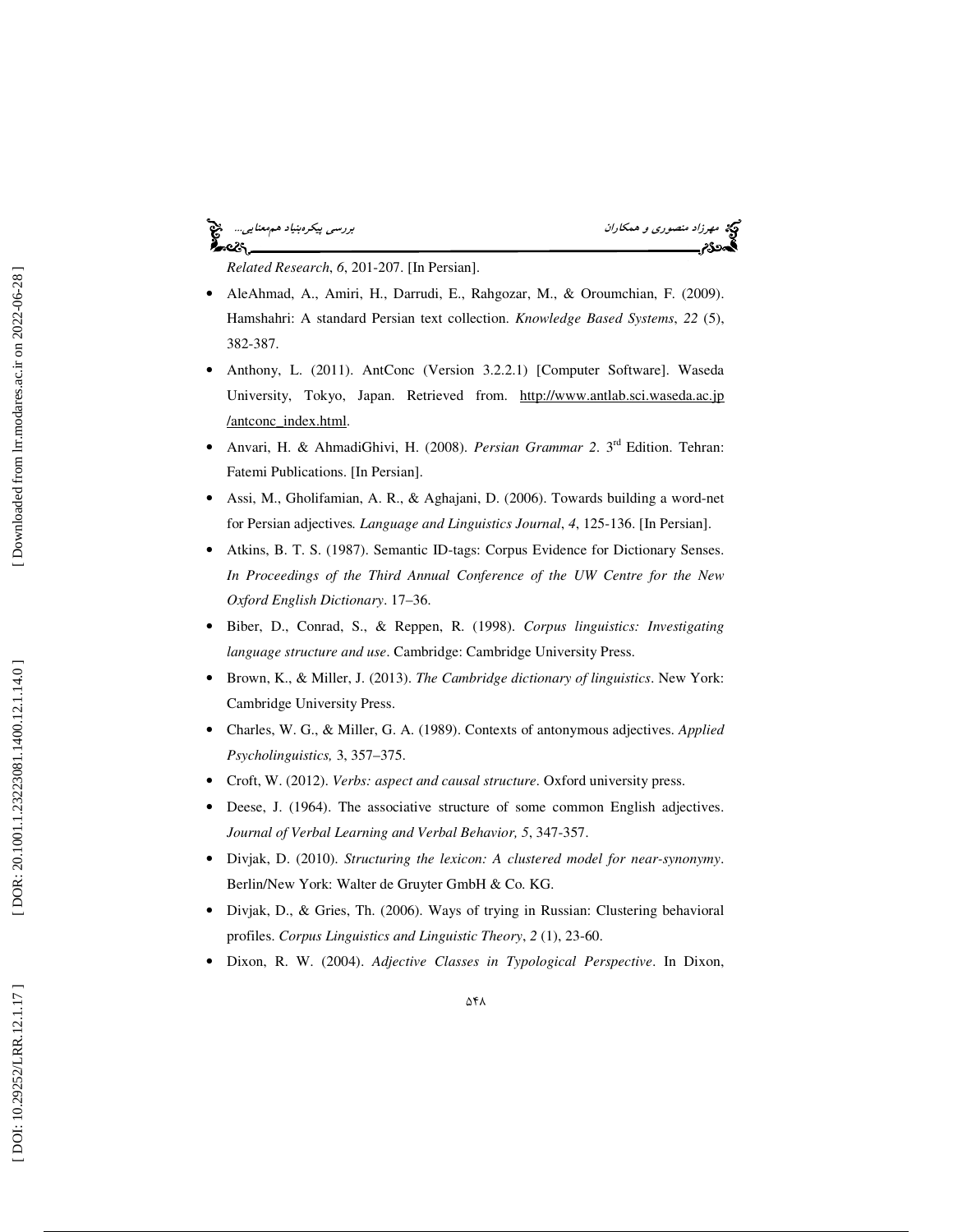## ۰cò.

مهرزاد منصوري و همكاران بررسي پيكرهبنياد همهعنايي...<br>**بررسي پيكرهبنياد همهمنايي...**<br>**بهدودم** بررسي

*Related Research*, *6*, 201-207. [In Persian].

- AleAhmad, A., Amiri, H., Darrudi, E., Rahgozar, M., & Oroumchian, F. (2009). Hamshahri: A standard Persian text collection. *Knowledge Based Systems*, *22* (5), 382-387.
- Anthony, L. (2011). AntConc (Version 3.2.2.1) [Computer Software]. Waseda University, Tokyo, Japan. Retrieved from. http://www.antlab.sci.waseda.ac.jp /antconc\_index.html.
- Anvari, H. & AhmadiGhivi, H. (2008). *Persian Grammar 2*. 3rd Edition. Tehran: Fatemi Publications. [In Persian].
- Assi, M., Gholifamian, A. R., & Aghajani, D. (2006). Towards building a word-net for Persian adjectives*. Language and Linguistics Journal*, *4*, 125-136. [In Persian].
- Atkins, B. T. S. (1987). Semantic ID-tags: Corpus Evidence for Dictionary Senses. *In Proceedings of the Third Annual Conference of the UW Centre for the New Oxford English Dictionary*. 17–36.
- Biber, D., Conrad, S., & Reppen, R. (1998). *Corpus linguistics: Investigating language structure and use*. Cambridge: Cambridge University Press.
- Brown, K., & Miller, J. (2013). *The Cambridge dictionary of linguistics*. New York: Cambridge University Press.
- Charles, W. G., & Miller, G. A. (1989). Contexts of antonymous adjectives. *Applied Psycholinguistics,* 3, 357–375.
- Croft, W. (2012). *Verbs: aspect and causal structure*. Oxford university press.
- Deese, J. (1964). The associative structure of some common English adjectives. *Journal of Verbal Learning and Verbal Behavior, 5*, 347-357.
- Divjak, D. (2010). *Structuring the lexicon: A clustered model for near-synonymy*. Berlin/New York: Walter de Gruyter GmbH & Co. KG.
- Divjak, D., & Gries, Th. (2006). Ways of trying in Russian: Clustering behavioral profiles. *Corpus Linguistics and Linguistic Theory*, *2* (1), 23-60.
- Dixon, R. W. (2004). *Adjective Classes in Typological Perspective*. In Dixon,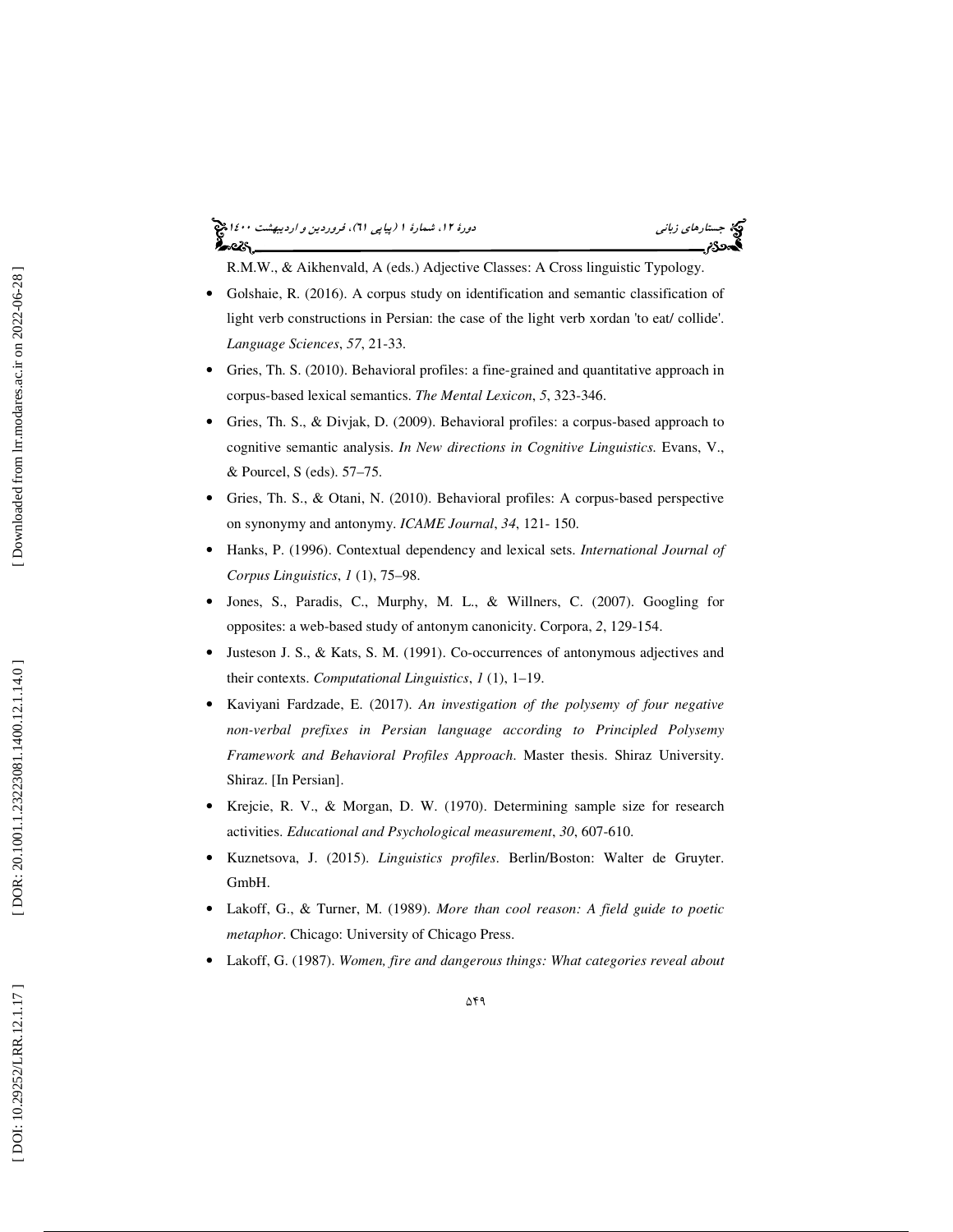# جستار*هاي زباني هي المرديبهشت 14*00 المرديبي في المرديب المرديبي المرديبهشت 1400 هجرا بعد المرديب المرديب

R.M.W., & Aikhenvald, A (eds.) Adjective Classes: A Cross linguistic Typology.

- Golshaie, R. (2016). A corpus study on identification and semantic classification of light verb constructions in Persian: the case of the light verb xordan 'to eat/ collide'. *Language Sciences*, *57*, 21-33.
- Gries, Th. S. (2010). Behavioral profiles: a fine-grained and quantitative approach in corpus-based lexical semantics. *The Mental Lexicon*, *5*, 323-346.
- Gries, Th. S., & Divjak, D. (2009). Behavioral profiles: a corpus-based approach to cognitive semantic analysis. *In New directions in Cognitive Linguistics.* Evans, V., & Pourcel, S (eds). 57–75.
- Gries, Th. S., & Otani, N. (2010). Behavioral profiles: A corpus-based perspective on synonymy and antonymy. *ICAME Journal*, *34*, 121- 150.
- Hanks, P. (1996). Contextual dependency and lexical sets. *International Journal of Corpus Linguistics* , *1* (1), 75–98.
- Jones, S., Paradis, C., Murphy, M. L., & Willners, C. (2007). Googling for opposites: a web-based study of antonym canonicity. Corpora, *2*, 129-154.
- Justeson J. S., & Kats, S. M. (1991). Co-occurrences of antonymous adjectives and their contexts. *Computational Linguistics* , *1* (1), 1–19.
- Kaviyani Fardzade, E. (2017). *An investigation of the polysemy of four negative non-verbal prefixes in Persian language according to Principled Polysemy Framework and Behavioral Profiles Approach*. Master thesis. Shiraz University. Shiraz. [In Persian].
- Krejcie, R. V., & Morgan, D. W. (1970). Determining sample size for research activities. *Educational and Psychological measurement*, *30*, 607-610.
- Kuznetsova, J. (2015). *Linguistics profiles*. Berlin/Boston: Walter de Gruyter. GmbH.
- Lakoff, G., & Turner, M. (1989). *More than cool reason: A field guide to poetic metaphor*. Chicago: University of Chicago Press.
- Lakoff, G. (1987). *Women, fire and dangerous things: What categories reveal about*

Downloaded from lrr.modares.ac.ir on 2022-06-28